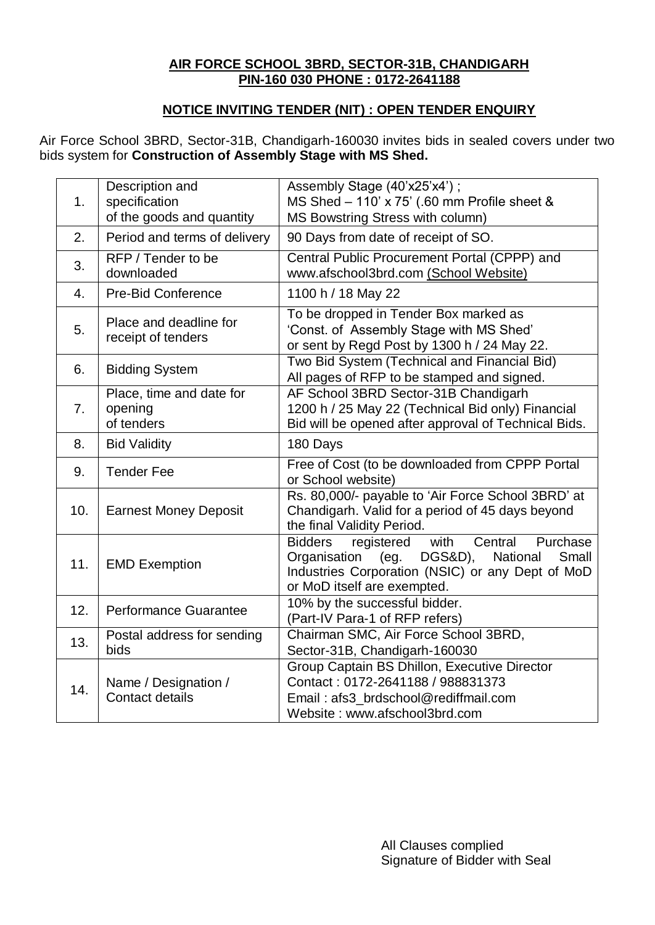## **AIR FORCE SCHOOL 3BRD, SECTOR-31B, CHANDIGARH PIN-160 030 PHONE : 0172-2641188**

## **NOTICE INVITING TENDER (NIT) : OPEN TENDER ENQUIRY**

Air Force School 3BRD, Sector-31B, Chandigarh-160030 invites bids in sealed covers under two bids system for **Construction of Assembly Stage with MS Shed.**

| 1.  | Description and<br>specification<br>of the goods and quantity | Assembly Stage (40'x25'x4');<br>MS Shed - 110' x 75' (.60 mm Profile sheet &<br>MS Bowstring Stress with column)                                                                                       |  |  |  |
|-----|---------------------------------------------------------------|--------------------------------------------------------------------------------------------------------------------------------------------------------------------------------------------------------|--|--|--|
| 2.  | Period and terms of delivery                                  | 90 Days from date of receipt of SO.                                                                                                                                                                    |  |  |  |
| 3.  | RFP / Tender to be<br>downloaded                              | Central Public Procurement Portal (CPPP) and<br>www.afschool3brd.com (School Website)                                                                                                                  |  |  |  |
| 4.  | <b>Pre-Bid Conference</b>                                     | 1100 h / 18 May 22                                                                                                                                                                                     |  |  |  |
| 5.  | Place and deadline for<br>receipt of tenders                  | To be dropped in Tender Box marked as<br>'Const. of Assembly Stage with MS Shed'<br>or sent by Regd Post by 1300 h / 24 May 22.                                                                        |  |  |  |
| 6.  | <b>Bidding System</b>                                         | Two Bid System (Technical and Financial Bid)<br>All pages of RFP to be stamped and signed.                                                                                                             |  |  |  |
| 7.  | Place, time and date for<br>opening<br>of tenders             | AF School 3BRD Sector-31B Chandigarh<br>1200 h / 25 May 22 (Technical Bid only) Financial<br>Bid will be opened after approval of Technical Bids.                                                      |  |  |  |
| 8.  | <b>Bid Validity</b>                                           | 180 Days                                                                                                                                                                                               |  |  |  |
| 9.  | <b>Tender Fee</b>                                             | Free of Cost (to be downloaded from CPPP Portal<br>or School website)                                                                                                                                  |  |  |  |
| 10. | <b>Earnest Money Deposit</b>                                  | Rs. 80,000/- payable to 'Air Force School 3BRD' at<br>Chandigarh. Valid for a period of 45 days beyond<br>the final Validity Period.                                                                   |  |  |  |
| 11. | <b>EMD Exemption</b>                                          | with<br>Purchase<br><b>Bidders</b><br>registered<br>Central<br>DGS&D),<br>National<br>Organisation<br>(eg.<br>Small<br>Industries Corporation (NSIC) or any Dept of MoD<br>or MoD itself are exempted. |  |  |  |
| 12. | <b>Performance Guarantee</b>                                  | 10% by the successful bidder.<br>(Part-IV Para-1 of RFP refers)                                                                                                                                        |  |  |  |
| 13. | Postal address for sending<br>bids                            | Chairman SMC, Air Force School 3BRD,<br>Sector-31B, Chandigarh-160030                                                                                                                                  |  |  |  |
| 14. | Name / Designation /<br><b>Contact details</b>                | Group Captain BS Dhillon, Executive Director<br>Contact: 0172-2641188 / 988831373<br>Email: afs3_brdschool@rediffmail.com<br>Website: www.afschool3brd.com                                             |  |  |  |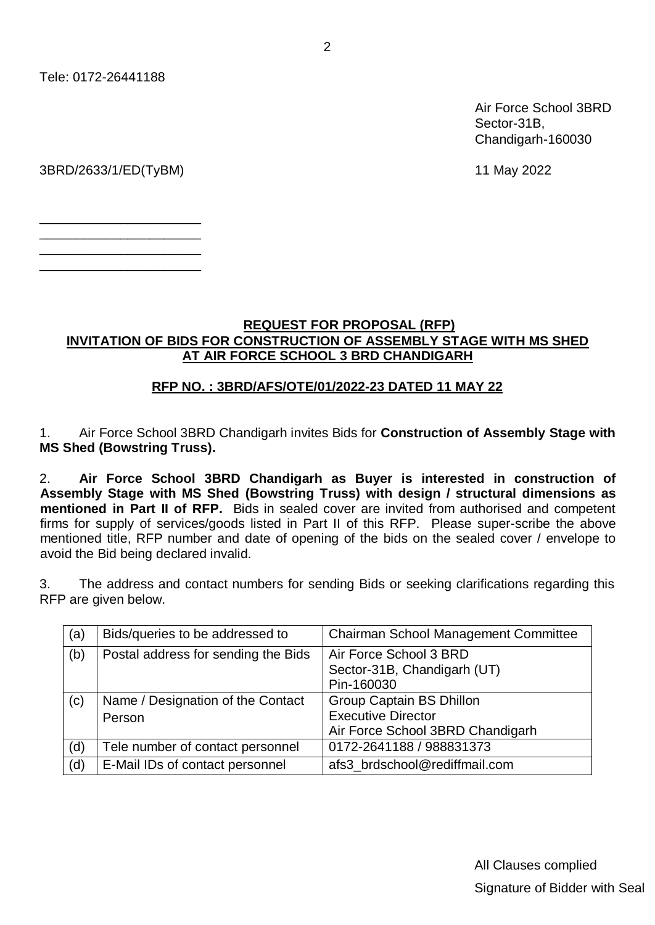Tele: 0172-26441188

Air Force School 3BRD Sector-31B, Chandigarh-160030

3BRD/2633/1/ED(TyBM) 11 May 2022

\_\_\_\_\_\_\_\_\_\_\_\_\_\_\_\_\_\_\_\_\_\_ \_\_\_\_\_\_\_\_\_\_\_\_\_\_\_\_\_\_\_\_\_\_ \_\_\_\_\_\_\_\_\_\_\_\_\_\_\_\_\_\_\_\_\_\_ \_\_\_\_\_\_\_\_\_\_\_\_\_\_\_\_\_\_\_\_\_\_

#### **REQUEST FOR PROPOSAL (RFP) INVITATION OF BIDS FOR CONSTRUCTION OF ASSEMBLY STAGE WITH MS SHED AT AIR FORCE SCHOOL 3 BRD CHANDIGARH**

#### **RFP NO. : 3BRD/AFS/OTE/01/2022-23 DATED 11 MAY 22**

1. Air Force School 3BRD Chandigarh invites Bids for **Construction of Assembly Stage with MS Shed (Bowstring Truss).**

2. **Air Force School 3BRD Chandigarh as Buyer is interested in construction of Assembly Stage with MS Shed (Bowstring Truss) with design / structural dimensions as mentioned in Part II of RFP.** Bids in sealed cover are invited from authorised and competent firms for supply of services/goods listed in Part II of this RFP. Please super-scribe the above mentioned title, RFP number and date of opening of the bids on the sealed cover / envelope to avoid the Bid being declared invalid.

3. The address and contact numbers for sending Bids or seeking clarifications regarding this RFP are given below.

| (a) | Bids/queries to be addressed to             | Chairman School Management Committee                                                             |
|-----|---------------------------------------------|--------------------------------------------------------------------------------------------------|
| (b) | Postal address for sending the Bids         | Air Force School 3 BRD<br>Sector-31B, Chandigarh (UT)<br>Pin-160030                              |
| (c) | Name / Designation of the Contact<br>Person | <b>Group Captain BS Dhillon</b><br><b>Executive Director</b><br>Air Force School 3BRD Chandigarh |
| (d) | Tele number of contact personnel            | 0172-2641188 / 988831373                                                                         |
| (d) | E-Mail IDs of contact personnel             | afs3 brdschool@rediffmail.com                                                                    |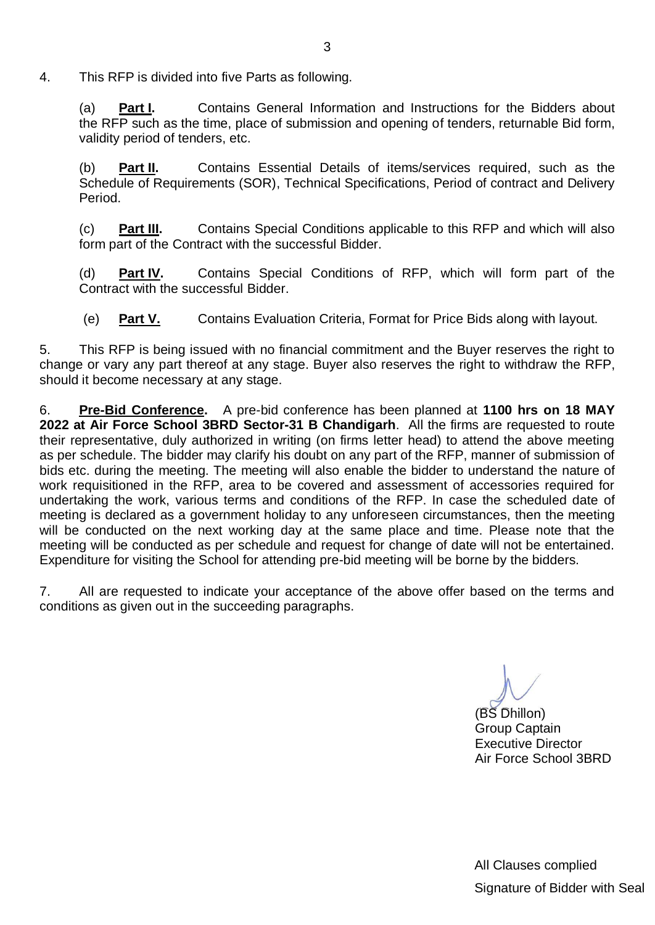4. This RFP is divided into five Parts as following.

(a) **Part I.** Contains General Information and Instructions for the Bidders about the RFP such as the time, place of submission and opening of tenders, returnable Bid form, validity period of tenders, etc.

(b) **Part II.** Contains Essential Details of items/services required, such as the Schedule of Requirements (SOR), Technical Specifications, Period of contract and Delivery Period.

(c) **Part III.** Contains Special Conditions applicable to this RFP and which will also form part of the Contract with the successful Bidder.

(d) **Part IV.** Contains Special Conditions of RFP, which will form part of the Contract with the successful Bidder.

(e) **Part V.** Contains Evaluation Criteria, Format for Price Bids along with layout.

5. This RFP is being issued with no financial commitment and the Buyer reserves the right to change or vary any part thereof at any stage. Buyer also reserves the right to withdraw the RFP, should it become necessary at any stage.

6. **Pre-Bid Conference.** A pre-bid conference has been planned at **1100 hrs on 18 MAY 2022 at Air Force School 3BRD Sector-31 B Chandigarh**. All the firms are requested to route their representative, duly authorized in writing (on firms letter head) to attend the above meeting as per schedule. The bidder may clarify his doubt on any part of the RFP, manner of submission of bids etc. during the meeting. The meeting will also enable the bidder to understand the nature of work requisitioned in the RFP, area to be covered and assessment of accessories required for undertaking the work, various terms and conditions of the RFP. In case the scheduled date of meeting is declared as a government holiday to any unforeseen circumstances, then the meeting will be conducted on the next working day at the same place and time. Please note that the meeting will be conducted as per schedule and request for change of date will not be entertained. Expenditure for visiting the School for attending pre-bid meeting will be borne by the bidders.

7. All are requested to indicate your acceptance of the above offer based on the terms and conditions as given out in the succeeding paragraphs.

(BS Dhillon) Group Captain Executive Director Air Force School 3BRD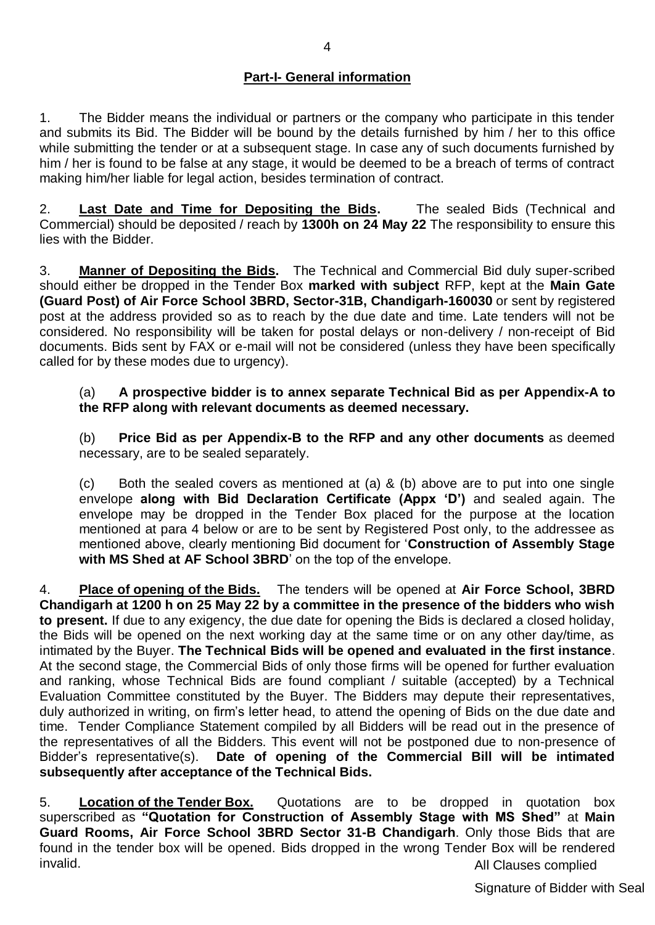## **Part-I- General information**

1. The Bidder means the individual or partners or the company who participate in this tender and submits its Bid. The Bidder will be bound by the details furnished by him / her to this office while submitting the tender or at a subsequent stage. In case any of such documents furnished by him / her is found to be false at any stage, it would be deemed to be a breach of terms of contract making him/her liable for legal action, besides termination of contract.

2. **Last Date and Time for Depositing the Bids.** The sealed Bids (Technical and Commercial) should be deposited / reach by **1300h on 24 May 22** The responsibility to ensure this lies with the Bidder.

3. **Manner of Depositing the Bids.** The Technical and Commercial Bid duly super-scribed should either be dropped in the Tender Box **marked with subject** RFP, kept at the **Main Gate (Guard Post) of Air Force School 3BRD, Sector-31B, Chandigarh-160030** or sent by registered post at the address provided so as to reach by the due date and time. Late tenders will not be considered. No responsibility will be taken for postal delays or non-delivery / non-receipt of Bid documents. Bids sent by FAX or e-mail will not be considered (unless they have been specifically called for by these modes due to urgency).

#### (a) **A prospective bidder is to annex separate Technical Bid as per Appendix-A to the RFP along with relevant documents as deemed necessary.**

(b) **Price Bid as per Appendix-B to the RFP and any other documents** as deemed necessary, are to be sealed separately.

(c) Both the sealed covers as mentioned at (a) & (b) above are to put into one single envelope **along with Bid Declaration Certificate (Appx "D")** and sealed again. The envelope may be dropped in the Tender Box placed for the purpose at the location mentioned at para 4 below or are to be sent by Registered Post only, to the addressee as mentioned above, clearly mentioning Bid document for "**Construction of Assembly Stage with MS Shed at AF School 3BRD**" on the top of the envelope.

4. **Place of opening of the Bids.** The tenders will be opened at **Air Force School, 3BRD Chandigarh at 1200 h on 25 May 22 by a committee in the presence of the bidders who wish to present.** If due to any exigency, the due date for opening the Bids is declared a closed holiday, the Bids will be opened on the next working day at the same time or on any other day/time, as intimated by the Buyer. **The Technical Bids will be opened and evaluated in the first instance**. At the second stage, the Commercial Bids of only those firms will be opened for further evaluation and ranking, whose Technical Bids are found compliant / suitable (accepted) by a Technical Evaluation Committee constituted by the Buyer. The Bidders may depute their representatives, duly authorized in writing, on firm's letter head, to attend the opening of Bids on the due date and time. Tender Compliance Statement compiled by all Bidders will be read out in the presence of the representatives of all the Bidders. This event will not be postponed due to non-presence of Bidder"s representative(s). **Date of opening of the Commercial Bill will be intimated subsequently after acceptance of the Technical Bids.**

All Clauses complied 5. **Location of the Tender Box.** Quotations are to be dropped in quotation box superscribed as **"Quotation for Construction of Assembly Stage with MS Shed"** at **Main Guard Rooms, Air Force School 3BRD Sector 31-B Chandigarh**. Only those Bids that are found in the tender box will be opened. Bids dropped in the wrong Tender Box will be rendered invalid.

Signature of Bidder with Seal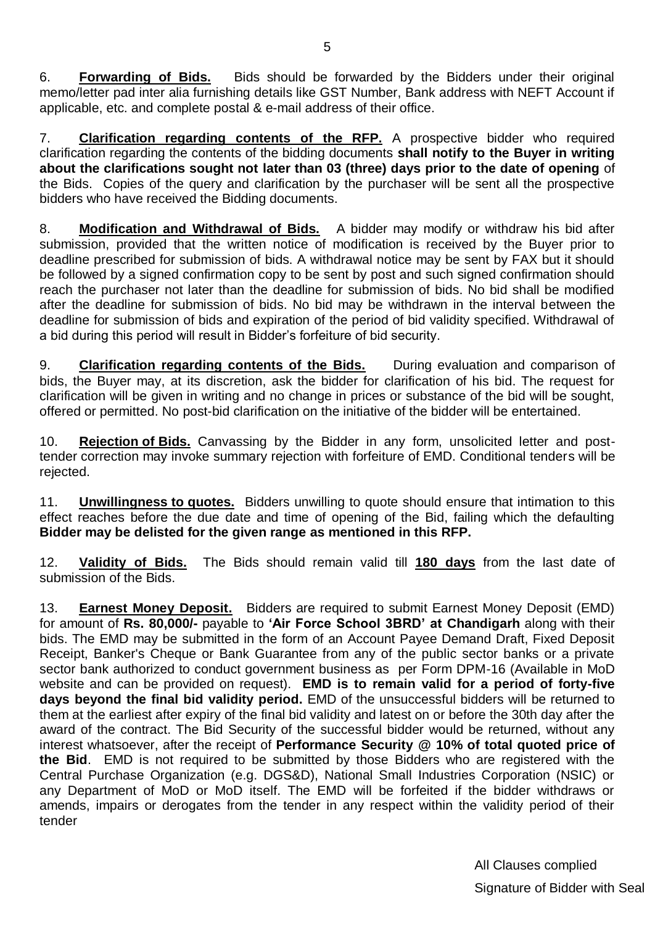6. **Forwarding of Bids.** Bids should be forwarded by the Bidders under their original memo/letter pad inter alia furnishing details like GST Number, Bank address with NEFT Account if applicable, etc. and complete postal & e-mail address of their office.

7. **Clarification regarding contents of the RFP.** A prospective bidder who required clarification regarding the contents of the bidding documents **shall notify to the Buyer in writing about the clarifications sought not later than 03 (three) days prior to the date of opening** of the Bids. Copies of the query and clarification by the purchaser will be sent all the prospective bidders who have received the Bidding documents.

8. **Modification and Withdrawal of Bids.** A bidder may modify or withdraw his bid after submission, provided that the written notice of modification is received by the Buyer prior to deadline prescribed for submission of bids. A withdrawal notice may be sent by FAX but it should be followed by a signed confirmation copy to be sent by post and such signed confirmation should reach the purchaser not later than the deadline for submission of bids. No bid shall be modified after the deadline for submission of bids. No bid may be withdrawn in the interval between the deadline for submission of bids and expiration of the period of bid validity specified. Withdrawal of a bid during this period will result in Bidder"s forfeiture of bid security.

9. **Clarification regarding contents of the Bids.** During evaluation and comparison of bids, the Buyer may, at its discretion, ask the bidder for clarification of his bid. The request for clarification will be given in writing and no change in prices or substance of the bid will be sought, offered or permitted. No post-bid clarification on the initiative of the bidder will be entertained.

10. **Rejection of Bids.** Canvassing by the Bidder in any form, unsolicited letter and posttender correction may invoke summary rejection with forfeiture of EMD. Conditional tenders will be rejected.

11. **Unwillingness to quotes.** Bidders unwilling to quote should ensure that intimation to this effect reaches before the due date and time of opening of the Bid, failing which the defaulting **Bidder may be delisted for the given range as mentioned in this RFP.**

12. **Validity of Bids.** The Bids should remain valid till **180 days** from the last date of submission of the Bids.

13. **Earnest Money Deposit.** Bidders are required to submit Earnest Money Deposit (EMD) for amount of **Rs. 80,000/-** payable to **"Air Force School 3BRD" at Chandigarh** along with their bids. The EMD may be submitted in the form of an Account Payee Demand Draft, Fixed Deposit Receipt, Banker's Cheque or Bank Guarantee from any of the public sector banks or a private sector bank authorized to conduct government business as per Form DPM-16 (Available in MoD website and can be provided on request). **EMD is to remain valid for a period of forty-five days beyond the final bid validity period.** EMD of the unsuccessful bidders will be returned to them at the earliest after expiry of the final bid validity and latest on or before the 30th day after the award of the contract. The Bid Security of the successful bidder would be returned, without any interest whatsoever, after the receipt of **Performance Security @ 10% of total quoted price of the Bid**. EMD is not required to be submitted by those Bidders who are registered with the Central Purchase Organization (e.g. DGS&D), National Small Industries Corporation (NSIC) or any Department of MoD or MoD itself. The EMD will be forfeited if the bidder withdraws or amends, impairs or derogates from the tender in any respect within the validity period of their tender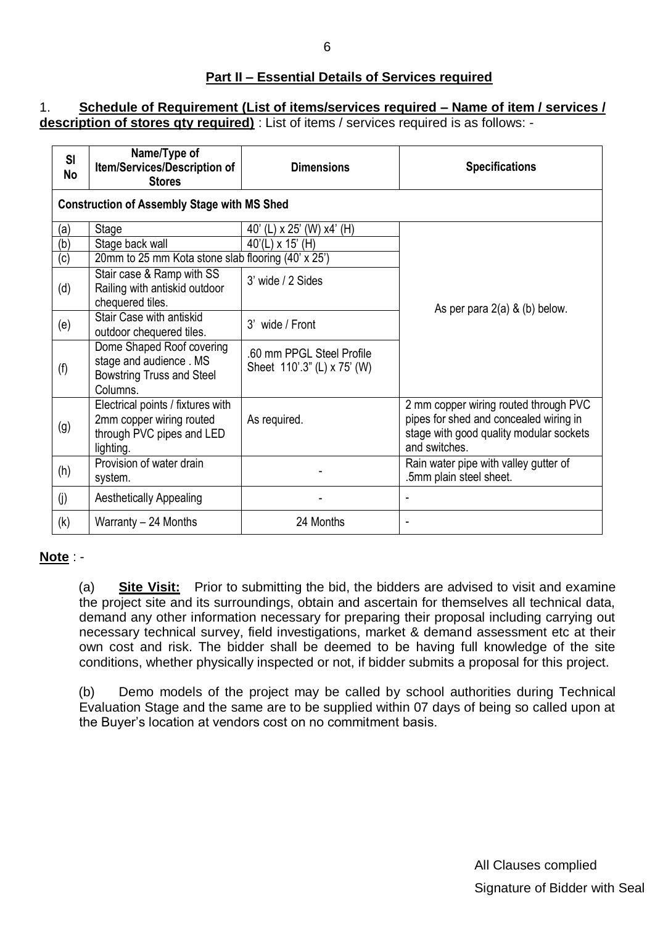#### **Part II – Essential Details of Services required**

#### 1. **Schedule of Requirement (List of items/services required – Name of item / services / description of stores qty required)** : List of items / services required is as follows: -

| SI<br><b>No</b> | Name/Type of<br>Item/Services/Description of<br><b>Stores</b>                                           | <b>Dimensions</b>                                        | <b>Specifications</b>                                                                                                                       |
|-----------------|---------------------------------------------------------------------------------------------------------|----------------------------------------------------------|---------------------------------------------------------------------------------------------------------------------------------------------|
|                 | <b>Construction of Assembly Stage with MS Shed</b>                                                      |                                                          |                                                                                                                                             |
| (a)             | Stage                                                                                                   | 40' (L) x 25' (W) x4' (H)                                |                                                                                                                                             |
| (b)             | Stage back wall                                                                                         | $40'(L) \times 15'$ (H)                                  |                                                                                                                                             |
| (c)             | 20mm to 25 mm Kota stone slab flooring (40' x 25')                                                      |                                                          |                                                                                                                                             |
| (d)             | Stair case & Ramp with SS<br>Railing with antiskid outdoor<br>chequered tiles.                          | 3' wide / 2 Sides                                        | As per para $2(a)$ & (b) below.                                                                                                             |
| (e)             | Stair Case with antiskid<br>outdoor chequered tiles.                                                    | 3' wide / Front                                          |                                                                                                                                             |
| (f)             | Dome Shaped Roof covering<br>stage and audience. MS<br><b>Bowstring Truss and Steel</b><br>Columns.     | .60 mm PPGL Steel Profile<br>Sheet 110'.3" (L) x 75' (W) |                                                                                                                                             |
| (g)             | Electrical points / fixtures with<br>2mm copper wiring routed<br>through PVC pipes and LED<br>lighting. | As required.                                             | 2 mm copper wiring routed through PVC<br>pipes for shed and concealed wiring in<br>stage with good quality modular sockets<br>and switches. |
| (h)             | Provision of water drain<br>system.                                                                     |                                                          | Rain water pipe with valley gutter of<br>.5mm plain steel sheet.                                                                            |
| (j)             | <b>Aesthetically Appealing</b>                                                                          |                                                          | $\overline{\phantom{a}}$                                                                                                                    |
| (k)             | Warranty - 24 Months                                                                                    | 24 Months                                                |                                                                                                                                             |

#### **Note** : -

(a) **Site Visit:** Prior to submitting the bid, the bidders are advised to visit and examine the project site and its surroundings, obtain and ascertain for themselves all technical data, demand any other information necessary for preparing their proposal including carrying out necessary technical survey, field investigations, market & demand assessment etc at their own cost and risk. The bidder shall be deemed to be having full knowledge of the site conditions, whether physically inspected or not, if bidder submits a proposal for this project.

(b) Demo models of the project may be called by school authorities during Technical Evaluation Stage and the same are to be supplied within 07 days of being so called upon at the Buyer"s location at vendors cost on no commitment basis.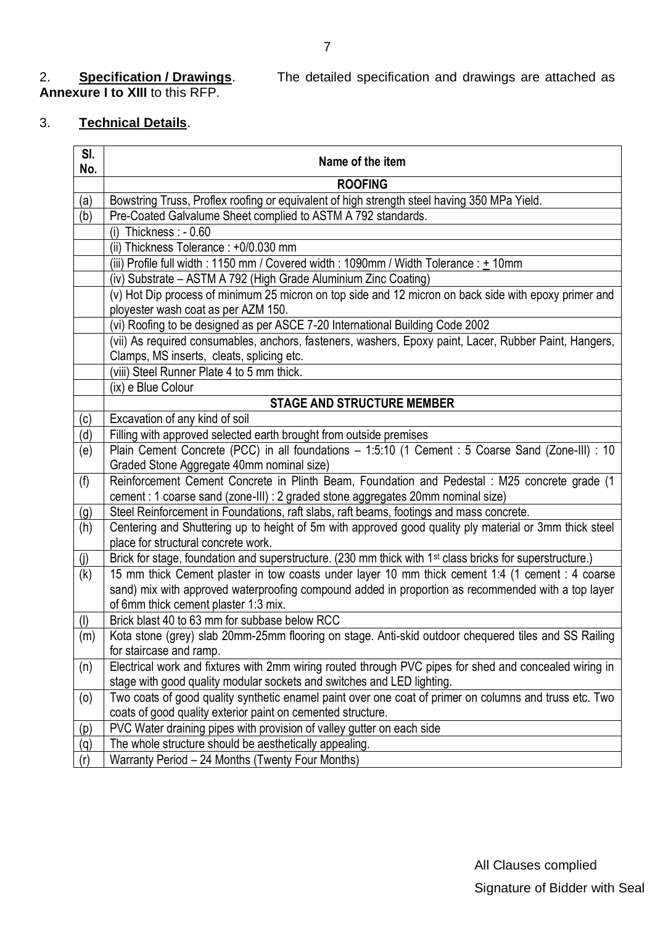# 2. **Specification / Drawings.**<br>**Annexure I to XIII** to this RFP.

The detailed specification and drawings are attached as

# 3. **Technical Details**.

| SI.<br>No. | Name of the item                                                                                                                               |
|------------|------------------------------------------------------------------------------------------------------------------------------------------------|
|            | <b>ROOFING</b>                                                                                                                                 |
| (a)        | Bowstring Truss, Proflex roofing or equivalent of high strength steel having 350 MPa Yield.                                                    |
| (b)        | Pre-Coated Galvalume Sheet complied to ASTM A 792 standards.                                                                                   |
|            | (i) Thickness : $-0.60$                                                                                                                        |
|            | (ii) Thickness Tolerance: +0/0.030 mm                                                                                                          |
|            | (iii) Profile full width: 1150 mm / Covered width: 1090mm / Width Tolerance: + 10mm                                                            |
|            | (iv) Substrate - ASTM A 792 (High Grade Aluminium Zinc Coating)                                                                                |
|            | (v) Hot Dip process of minimum 25 micron on top side and 12 micron on back side with epoxy primer and                                          |
|            | ployester wash coat as per AZM 150.                                                                                                            |
|            | (vi) Roofing to be designed as per ASCE 7-20 International Building Code 2002                                                                  |
|            | (vii) As required consumables, anchors, fasteners, washers, Epoxy paint, Lacer, Rubber Paint, Hangers,                                         |
|            | Clamps, MS inserts, cleats, splicing etc.                                                                                                      |
|            | viii) Steel Runner Plate 4 to 5 mm thick.                                                                                                      |
|            | (ix) e Blue Colour                                                                                                                             |
|            | <b>STAGE AND STRUCTURE MEMBER</b>                                                                                                              |
| (c)        | Excavation of any kind of soil                                                                                                                 |
| (d)        | Filling with approved selected earth brought from outside premises                                                                             |
| (e)        | Plain Cement Concrete (PCC) in all foundations - 1:5:10 (1 Cement : 5 Coarse Sand (Zone-III) : 10<br>Graded Stone Aggregate 40mm nominal size) |
| (f)        | Reinforcement Cement Concrete in Plinth Beam, Foundation and Pedestal : M25 concrete grade (1                                                  |
|            | cement : 1 coarse sand (zone-III) : 2 graded stone aggregates 20mm nominal size)                                                               |
| <u>(g)</u> | Steel Reinforcement in Foundations, raft slabs, raft beams, footings and mass concrete.                                                        |
| (h)        | Centering and Shuttering up to height of 5m with approved good quality ply material or 3mm thick steel<br>place for structural concrete work.  |
| (j)        | Brick for stage, foundation and superstructure. (230 mm thick with 1 <sup>st</sup> class bricks for superstructure.)                           |
| (k)        | 15 mm thick Cement plaster in tow coasts under layer 10 mm thick cement 1:4 (1 cement : 4 coarse                                               |
|            | sand) mix with approved waterproofing compound added in proportion as recommended with a top layer                                             |
|            | of 6mm thick cement plaster 1:3 mix.                                                                                                           |
| (1)        | Brick blast 40 to 63 mm for subbase below RCC                                                                                                  |
| (m)        | Kota stone (grey) slab 20mm-25mm flooring on stage. Anti-skid outdoor chequered tiles and SS Railing                                           |
|            | for staircase and ramp.                                                                                                                        |
| (n)        | Electrical work and fixtures with 2mm wiring routed through PVC pipes for shed and concealed wiring in                                         |
|            | stage with good quality modular sockets and switches and LED lighting.                                                                         |
| (0)        | Two coats of good quality synthetic enamel paint over one coat of primer on columns and truss etc. Two                                         |
|            | coats of good quality exterior paint on cemented structure.                                                                                    |
| (p)        | PVC Water draining pipes with provision of valley gutter on each side<br>The whole structure should be aesthetically appealing.                |
| (q)        | Warranty Period - 24 Months (Twenty Four Months)                                                                                               |
| (r)        |                                                                                                                                                |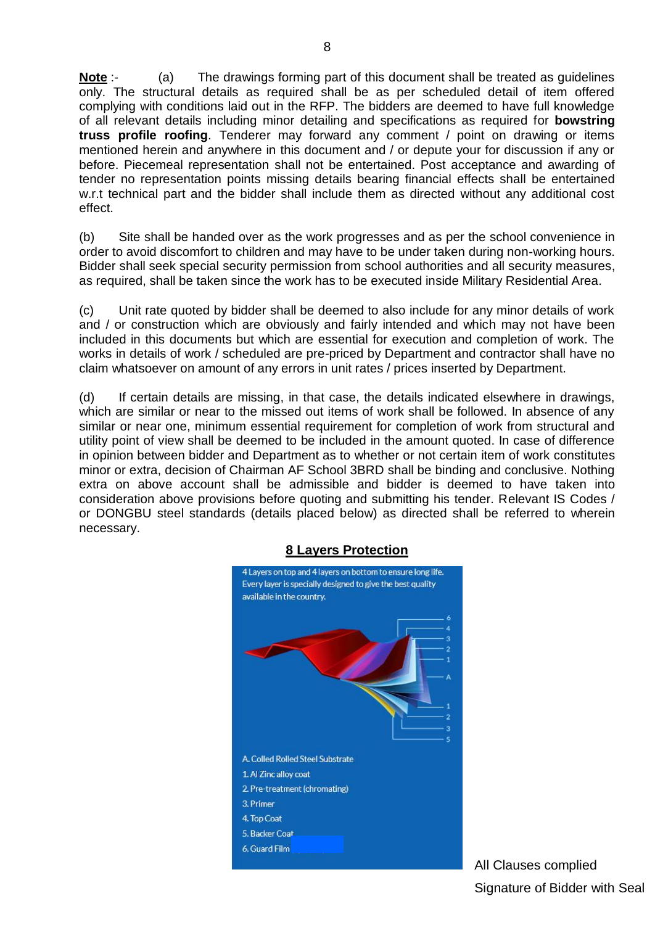**Note** :- (a) The drawings forming part of this document shall be treated as guidelines only. The structural details as required shall be as per scheduled detail of item offered complying with conditions laid out in the RFP. The bidders are deemed to have full knowledge of all relevant details including minor detailing and specifications as required for **bowstring truss profile roofing**. Tenderer may forward any comment / point on drawing or items mentioned herein and anywhere in this document and / or depute your for discussion if any or before. Piecemeal representation shall not be entertained. Post acceptance and awarding of tender no representation points missing details bearing financial effects shall be entertained w.r.t technical part and the bidder shall include them as directed without any additional cost effect.

(b) Site shall be handed over as the work progresses and as per the school convenience in order to avoid discomfort to children and may have to be under taken during non-working hours. Bidder shall seek special security permission from school authorities and all security measures, as required, shall be taken since the work has to be executed inside Military Residential Area.

(c) Unit rate quoted by bidder shall be deemed to also include for any minor details of work and / or construction which are obviously and fairly intended and which may not have been included in this documents but which are essential for execution and completion of work. The works in details of work / scheduled are pre-priced by Department and contractor shall have no claim whatsoever on amount of any errors in unit rates / prices inserted by Department.

(d) If certain details are missing, in that case, the details indicated elsewhere in drawings, which are similar or near to the missed out items of work shall be followed. In absence of any similar or near one, minimum essential requirement for completion of work from structural and utility point of view shall be deemed to be included in the amount quoted. In case of difference in opinion between bidder and Department as to whether or not certain item of work constitutes minor or extra, decision of Chairman AF School 3BRD shall be binding and conclusive. Nothing extra on above account shall be admissible and bidder is deemed to have taken into consideration above provisions before quoting and submitting his tender. Relevant IS Codes / or DONGBU steel standards (details placed below) as directed shall be referred to wherein necessary.



#### **8 Layers Protection**

All Clauses complied Signature of Bidder with Seal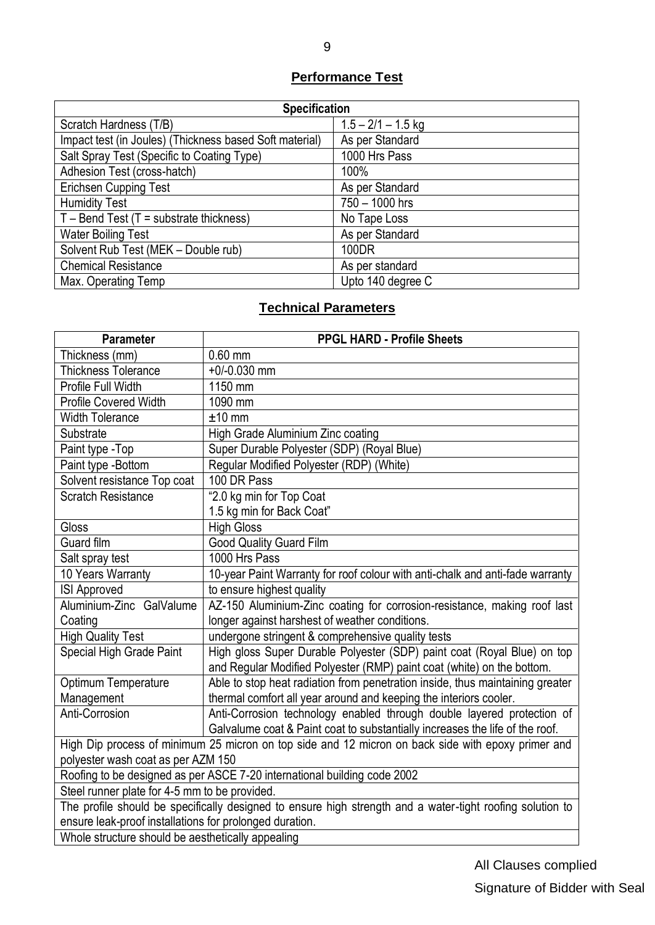# **Performance Test**

| <b>Specification</b>                                    |                      |  |  |  |  |  |
|---------------------------------------------------------|----------------------|--|--|--|--|--|
| Scratch Hardness (T/B)                                  | $1.5 - 2/1 - 1.5$ kg |  |  |  |  |  |
| Impact test (in Joules) (Thickness based Soft material) | As per Standard      |  |  |  |  |  |
| Salt Spray Test (Specific to Coating Type)              | 1000 Hrs Pass        |  |  |  |  |  |
| Adhesion Test (cross-hatch)                             | 100%                 |  |  |  |  |  |
| <b>Erichsen Cupping Test</b>                            | As per Standard      |  |  |  |  |  |
| <b>Humidity Test</b>                                    | 750 - 1000 hrs       |  |  |  |  |  |
| $T$ – Bend Test (T = substrate thickness)               | No Tape Loss         |  |  |  |  |  |
| <b>Water Boiling Test</b>                               | As per Standard      |  |  |  |  |  |
| Solvent Rub Test (MEK - Double rub)                     | 100DR                |  |  |  |  |  |
| <b>Chemical Resistance</b>                              | As per standard      |  |  |  |  |  |
| Max. Operating Temp                                     | Upto 140 degree C    |  |  |  |  |  |

## **Technical Parameters**

| <b>Parameter</b>                                                                                          | <b>PPGL HARD - Profile Sheets</b>                                             |  |  |  |  |
|-----------------------------------------------------------------------------------------------------------|-------------------------------------------------------------------------------|--|--|--|--|
| Thickness (mm)                                                                                            | $0.60$ mm                                                                     |  |  |  |  |
| <b>Thickness Tolerance</b>                                                                                | $+0/-0.030$ mm                                                                |  |  |  |  |
| Profile Full Width                                                                                        | 1150 mm                                                                       |  |  |  |  |
| <b>Profile Covered Width</b>                                                                              | 1090 mm                                                                       |  |  |  |  |
| <b>Width Tolerance</b>                                                                                    | $±10$ mm                                                                      |  |  |  |  |
| Substrate                                                                                                 | High Grade Aluminium Zinc coating                                             |  |  |  |  |
| Paint type -Top                                                                                           | Super Durable Polyester (SDP) (Royal Blue)                                    |  |  |  |  |
| Paint type -Bottom                                                                                        | Regular Modified Polyester (RDP) (White)                                      |  |  |  |  |
| Solvent resistance Top coat                                                                               | 100 DR Pass                                                                   |  |  |  |  |
| <b>Scratch Resistance</b>                                                                                 | "2.0 kg min for Top Coat                                                      |  |  |  |  |
|                                                                                                           | 1.5 kg min for Back Coat"                                                     |  |  |  |  |
| Gloss                                                                                                     | <b>High Gloss</b>                                                             |  |  |  |  |
| Guard film                                                                                                | <b>Good Quality Guard Film</b>                                                |  |  |  |  |
| Salt spray test                                                                                           | 1000 Hrs Pass                                                                 |  |  |  |  |
| 10 Years Warranty                                                                                         | 10-year Paint Warranty for roof colour with anti-chalk and anti-fade warranty |  |  |  |  |
| <b>ISI Approved</b>                                                                                       | to ensure highest quality                                                     |  |  |  |  |
| Aluminium-Zinc GalValume                                                                                  | AZ-150 Aluminium-Zinc coating for corrosion-resistance, making roof last      |  |  |  |  |
| Coating                                                                                                   | longer against harshest of weather conditions.                                |  |  |  |  |
| <b>High Quality Test</b>                                                                                  | undergone stringent & comprehensive quality tests                             |  |  |  |  |
| Special High Grade Paint                                                                                  | High gloss Super Durable Polyester (SDP) paint coat (Royal Blue) on top       |  |  |  |  |
|                                                                                                           | and Regular Modified Polyester (RMP) paint coat (white) on the bottom.        |  |  |  |  |
| Optimum Temperature                                                                                       | Able to stop heat radiation from penetration inside, thus maintaining greater |  |  |  |  |
| Management                                                                                                | thermal comfort all year around and keeping the interiors cooler.             |  |  |  |  |
| Anti-Corrosion                                                                                            | Anti-Corrosion technology enabled through double layered protection of        |  |  |  |  |
|                                                                                                           | Galvalume coat & Paint coat to substantially increases the life of the roof.  |  |  |  |  |
| High Dip process of minimum 25 micron on top side and 12 micron on back side with epoxy primer and        |                                                                               |  |  |  |  |
| polyester wash coat as per AZM 150                                                                        |                                                                               |  |  |  |  |
| Roofing to be designed as per ASCE 7-20 international building code 2002                                  |                                                                               |  |  |  |  |
| Steel runner plate for 4-5 mm to be provided.                                                             |                                                                               |  |  |  |  |
| The profile should be specifically designed to ensure high strength and a water-tight roofing solution to |                                                                               |  |  |  |  |
| ensure leak-proof installations for prolonged duration.                                                   |                                                                               |  |  |  |  |
| Whole structure should be aesthetically appealing                                                         |                                                                               |  |  |  |  |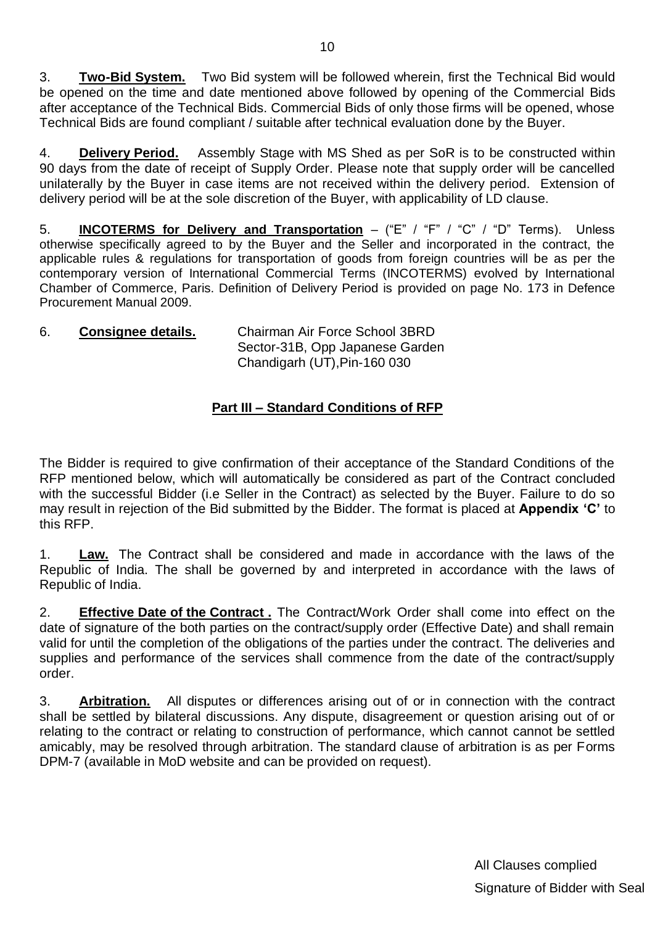3. **Two-Bid System.** Two Bid system will be followed wherein, first the Technical Bid would be opened on the time and date mentioned above followed by opening of the Commercial Bids after acceptance of the Technical Bids. Commercial Bids of only those firms will be opened, whose Technical Bids are found compliant / suitable after technical evaluation done by the Buyer.

4. **Delivery Period.** Assembly Stage with MS Shed as per SoR is to be constructed within 90 days from the date of receipt of Supply Order. Please note that supply order will be cancelled unilaterally by the Buyer in case items are not received within the delivery period. Extension of delivery period will be at the sole discretion of the Buyer, with applicability of LD clause.

5. **INCOTERMS for Delivery and Transportation** – ("E" / "F" / "C" / "D" Terms). Unless otherwise specifically agreed to by the Buyer and the Seller and incorporated in the contract, the applicable rules & regulations for transportation of goods from foreign countries will be as per the contemporary version of International Commercial Terms (INCOTERMS) evolved by International Chamber of Commerce, Paris. Definition of Delivery Period is provided on page No. 173 in Defence Procurement Manual 2009.

#### 6. **Consignee details.** Chairman Air Force School 3BRD Sector-31B, Opp Japanese Garden Chandigarh (UT),Pin-160 030

# **Part III – Standard Conditions of RFP**

The Bidder is required to give confirmation of their acceptance of the Standard Conditions of the RFP mentioned below, which will automatically be considered as part of the Contract concluded with the successful Bidder (i.e Seller in the Contract) as selected by the Buyer. Failure to do so may result in rejection of the Bid submitted by the Bidder. The format is placed at **Appendix "C"** to this RFP.

1. **Law.** The Contract shall be considered and made in accordance with the laws of the Republic of India. The shall be governed by and interpreted in accordance with the laws of Republic of India.

2. **Effective Date of the Contract .** The Contract/Work Order shall come into effect on the date of signature of the both parties on the contract/supply order (Effective Date) and shall remain valid for until the completion of the obligations of the parties under the contract. The deliveries and supplies and performance of the services shall commence from the date of the contract/supply order.

3. **Arbitration.** All disputes or differences arising out of or in connection with the contract shall be settled by bilateral discussions. Any dispute, disagreement or question arising out of or relating to the contract or relating to construction of performance, which cannot cannot be settled amicably, may be resolved through arbitration. The standard clause of arbitration is as per Forms DPM-7 (available in MoD website and can be provided on request).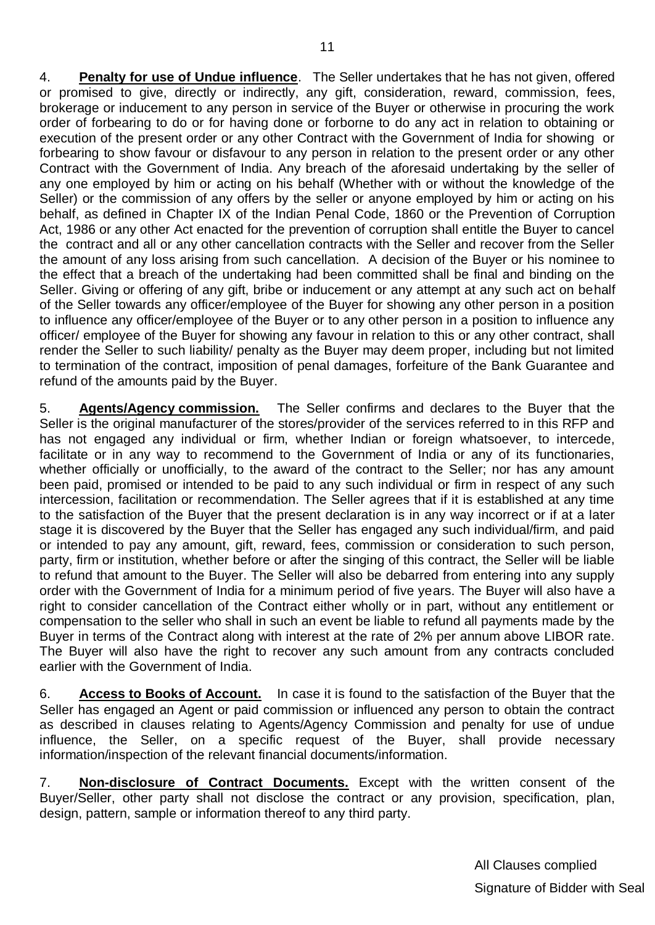4. **Penalty for use of Undue influence**. The Seller undertakes that he has not given, offered or promised to give, directly or indirectly, any gift, consideration, reward, commission, fees, brokerage or inducement to any person in service of the Buyer or otherwise in procuring the work order of forbearing to do or for having done or forborne to do any act in relation to obtaining or execution of the present order or any other Contract with the Government of India for showing or forbearing to show favour or disfavour to any person in relation to the present order or any other Contract with the Government of India. Any breach of the aforesaid undertaking by the seller of any one employed by him or acting on his behalf (Whether with or without the knowledge of the Seller) or the commission of any offers by the seller or anyone employed by him or acting on his behalf, as defined in Chapter IX of the Indian Penal Code, 1860 or the Prevention of Corruption Act, 1986 or any other Act enacted for the prevention of corruption shall entitle the Buyer to cancel the contract and all or any other cancellation contracts with the Seller and recover from the Seller the amount of any loss arising from such cancellation. A decision of the Buyer or his nominee to the effect that a breach of the undertaking had been committed shall be final and binding on the Seller. Giving or offering of any gift, bribe or inducement or any attempt at any such act on behalf of the Seller towards any officer/employee of the Buyer for showing any other person in a position to influence any officer/employee of the Buyer or to any other person in a position to influence any officer/ employee of the Buyer for showing any favour in relation to this or any other contract, shall render the Seller to such liability/ penalty as the Buyer may deem proper, including but not limited to termination of the contract, imposition of penal damages, forfeiture of the Bank Guarantee and refund of the amounts paid by the Buyer.

5. **Agents/Agency commission.** The Seller confirms and declares to the Buyer that the Seller is the original manufacturer of the stores/provider of the services referred to in this RFP and has not engaged any individual or firm, whether Indian or foreign whatsoever, to intercede, facilitate or in any way to recommend to the Government of India or any of its functionaries, whether officially or unofficially, to the award of the contract to the Seller; nor has any amount been paid, promised or intended to be paid to any such individual or firm in respect of any such intercession, facilitation or recommendation. The Seller agrees that if it is established at any time to the satisfaction of the Buyer that the present declaration is in any way incorrect or if at a later stage it is discovered by the Buyer that the Seller has engaged any such individual/firm, and paid or intended to pay any amount, gift, reward, fees, commission or consideration to such person, party, firm or institution, whether before or after the singing of this contract, the Seller will be liable to refund that amount to the Buyer. The Seller will also be debarred from entering into any supply order with the Government of India for a minimum period of five years. The Buyer will also have a right to consider cancellation of the Contract either wholly or in part, without any entitlement or compensation to the seller who shall in such an event be liable to refund all payments made by the Buyer in terms of the Contract along with interest at the rate of 2% per annum above LIBOR rate. The Buyer will also have the right to recover any such amount from any contracts concluded earlier with the Government of India.

6. **Access to Books of Account.** In case it is found to the satisfaction of the Buyer that the Seller has engaged an Agent or paid commission or influenced any person to obtain the contract as described in clauses relating to Agents/Agency Commission and penalty for use of undue influence, the Seller, on a specific request of the Buyer, shall provide necessary information/inspection of the relevant financial documents/information.

7. **Non-disclosure of Contract Documents.** Except with the written consent of the Buyer/Seller, other party shall not disclose the contract or any provision, specification, plan, design, pattern, sample or information thereof to any third party.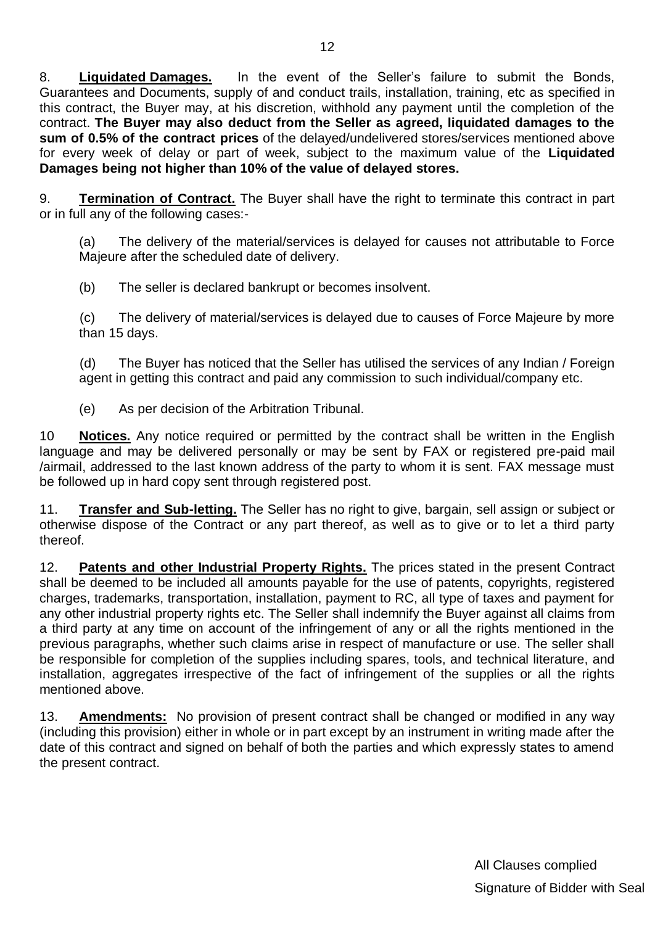8. **Liquidated Damages.** In the event of the Seller"s failure to submit the Bonds, Guarantees and Documents, supply of and conduct trails, installation, training, etc as specified in this contract, the Buyer may, at his discretion, withhold any payment until the completion of the contract. **The Buyer may also deduct from the Seller as agreed, liquidated damages to the sum of 0.5% of the contract prices** of the delayed/undelivered stores/services mentioned above for every week of delay or part of week, subject to the maximum value of the **Liquidated Damages being not higher than 10% of the value of delayed stores.**

9. **Termination of Contract.** The Buyer shall have the right to terminate this contract in part or in full any of the following cases:-

(a) The delivery of the material/services is delayed for causes not attributable to Force Majeure after the scheduled date of delivery.

(b) The seller is declared bankrupt or becomes insolvent.

(c) The delivery of material/services is delayed due to causes of Force Majeure by more than 15 days.

(d) The Buyer has noticed that the Seller has utilised the services of any Indian / Foreign agent in getting this contract and paid any commission to such individual/company etc.

(e) As per decision of the Arbitration Tribunal.

10 **Notices.** Any notice required or permitted by the contract shall be written in the English language and may be delivered personally or may be sent by FAX or registered pre-paid mail /airmail, addressed to the last known address of the party to whom it is sent. FAX message must be followed up in hard copy sent through registered post.

11. **Transfer and Sub-letting.** The Seller has no right to give, bargain, sell assign or subject or otherwise dispose of the Contract or any part thereof, as well as to give or to let a third party thereof.

12. **Patents and other Industrial Property Rights.** The prices stated in the present Contract shall be deemed to be included all amounts payable for the use of patents, copyrights, registered charges, trademarks, transportation, installation, payment to RC, all type of taxes and payment for any other industrial property rights etc. The Seller shall indemnify the Buyer against all claims from a third party at any time on account of the infringement of any or all the rights mentioned in the previous paragraphs, whether such claims arise in respect of manufacture or use. The seller shall be responsible for completion of the supplies including spares, tools, and technical literature, and installation, aggregates irrespective of the fact of infringement of the supplies or all the rights mentioned above.

13. **Amendments:** No provision of present contract shall be changed or modified in any way (including this provision) either in whole or in part except by an instrument in writing made after the date of this contract and signed on behalf of both the parties and which expressly states to amend the present contract.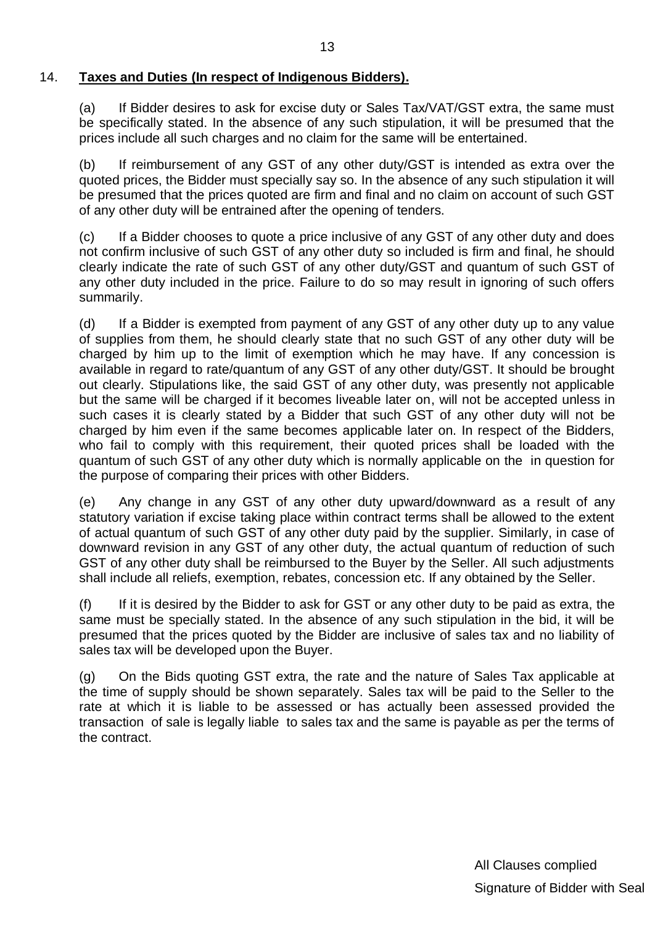#### 14. **Taxes and Duties (In respect of Indigenous Bidders).**

(a) If Bidder desires to ask for excise duty or Sales Tax/VAT/GST extra, the same must be specifically stated. In the absence of any such stipulation, it will be presumed that the prices include all such charges and no claim for the same will be entertained.

(b) If reimbursement of any GST of any other duty/GST is intended as extra over the quoted prices, the Bidder must specially say so. In the absence of any such stipulation it will be presumed that the prices quoted are firm and final and no claim on account of such GST of any other duty will be entrained after the opening of tenders.

(c) If a Bidder chooses to quote a price inclusive of any GST of any other duty and does not confirm inclusive of such GST of any other duty so included is firm and final, he should clearly indicate the rate of such GST of any other duty/GST and quantum of such GST of any other duty included in the price. Failure to do so may result in ignoring of such offers summarily.

(d) If a Bidder is exempted from payment of any GST of any other duty up to any value of supplies from them, he should clearly state that no such GST of any other duty will be charged by him up to the limit of exemption which he may have. If any concession is available in regard to rate/quantum of any GST of any other duty/GST. It should be brought out clearly. Stipulations like, the said GST of any other duty, was presently not applicable but the same will be charged if it becomes liveable later on, will not be accepted unless in such cases it is clearly stated by a Bidder that such GST of any other duty will not be charged by him even if the same becomes applicable later on. In respect of the Bidders, who fail to comply with this requirement, their quoted prices shall be loaded with the quantum of such GST of any other duty which is normally applicable on the in question for the purpose of comparing their prices with other Bidders.

(e) Any change in any GST of any other duty upward/downward as a result of any statutory variation if excise taking place within contract terms shall be allowed to the extent of actual quantum of such GST of any other duty paid by the supplier. Similarly, in case of downward revision in any GST of any other duty, the actual quantum of reduction of such GST of any other duty shall be reimbursed to the Buyer by the Seller. All such adjustments shall include all reliefs, exemption, rebates, concession etc. If any obtained by the Seller.

(f) If it is desired by the Bidder to ask for GST or any other duty to be paid as extra, the same must be specially stated. In the absence of any such stipulation in the bid, it will be presumed that the prices quoted by the Bidder are inclusive of sales tax and no liability of sales tax will be developed upon the Buyer.

(g) On the Bids quoting GST extra, the rate and the nature of Sales Tax applicable at the time of supply should be shown separately. Sales tax will be paid to the Seller to the rate at which it is liable to be assessed or has actually been assessed provided the transaction of sale is legally liable to sales tax and the same is payable as per the terms of the contract.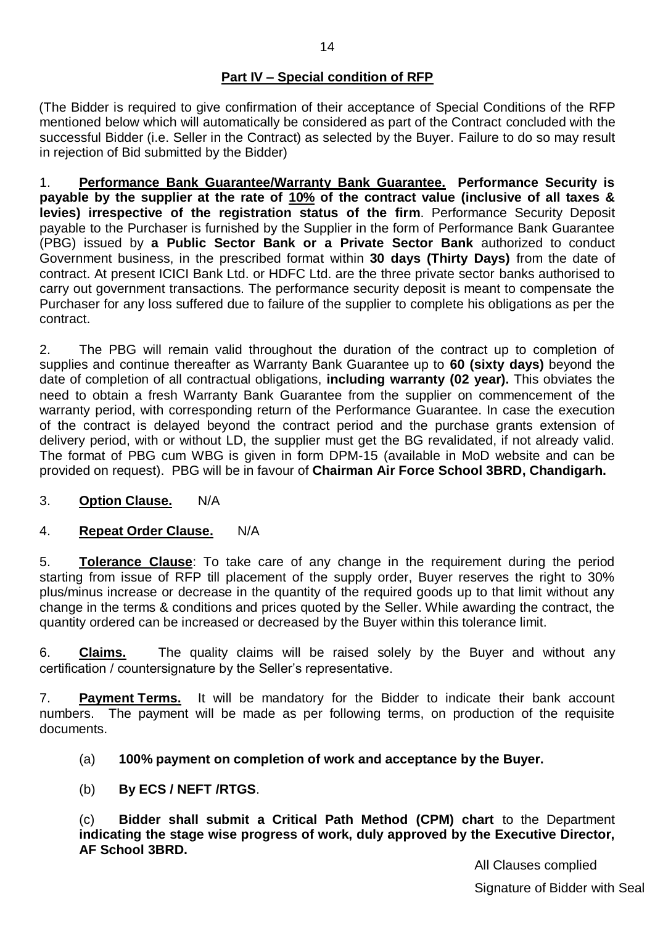## **Part IV – Special condition of RFP**

(The Bidder is required to give confirmation of their acceptance of Special Conditions of the RFP mentioned below which will automatically be considered as part of the Contract concluded with the successful Bidder (i.e. Seller in the Contract) as selected by the Buyer. Failure to do so may result in rejection of Bid submitted by the Bidder)

1. **Performance Bank Guarantee/Warranty Bank Guarantee. Performance Security is payable by the supplier at the rate of 10% of the contract value (inclusive of all taxes & levies) irrespective of the registration status of the firm**. Performance Security Deposit payable to the Purchaser is furnished by the Supplier in the form of Performance Bank Guarantee (PBG) issued by **a Public Sector Bank or a Private Sector Bank** authorized to conduct Government business, in the prescribed format within **30 days (Thirty Days)** from the date of contract. At present ICICI Bank Ltd. or HDFC Ltd. are the three private sector banks authorised to carry out government transactions. The performance security deposit is meant to compensate the Purchaser for any loss suffered due to failure of the supplier to complete his obligations as per the contract.

2. The PBG will remain valid throughout the duration of the contract up to completion of supplies and continue thereafter as Warranty Bank Guarantee up to **60 (sixty days)** beyond the date of completion of all contractual obligations, **including warranty (02 year).** This obviates the need to obtain a fresh Warranty Bank Guarantee from the supplier on commencement of the warranty period, with corresponding return of the Performance Guarantee. In case the execution of the contract is delayed beyond the contract period and the purchase grants extension of delivery period, with or without LD, the supplier must get the BG revalidated, if not already valid. The format of PBG cum WBG is given in form DPM-15 (available in MoD website and can be provided on request). PBG will be in favour of **Chairman Air Force School 3BRD, Chandigarh.**

#### 3. **Option Clause.** N/A

#### 4. **Repeat Order Clause.** N/A

5. **Tolerance Clause**: To take care of any change in the requirement during the period starting from issue of RFP till placement of the supply order, Buyer reserves the right to 30% plus/minus increase or decrease in the quantity of the required goods up to that limit without any change in the terms & conditions and prices quoted by the Seller. While awarding the contract, the quantity ordered can be increased or decreased by the Buyer within this tolerance limit.

6. **Claims.** The quality claims will be raised solely by the Buyer and without any certification / countersignature by the Seller"s representative.

7. **Payment Terms.** It will be mandatory for the Bidder to indicate their bank account numbers. The payment will be made as per following terms, on production of the requisite documents.

#### (a) **100% payment on completion of work and acceptance by the Buyer.**

(b) **By ECS / NEFT /RTGS**.

(c) **Bidder shall submit a Critical Path Method (CPM) chart** to the Department **indicating the stage wise progress of work, duly approved by the Executive Director, AF School 3BRD.**

> All Clauses complied Signature of Bidder with Seal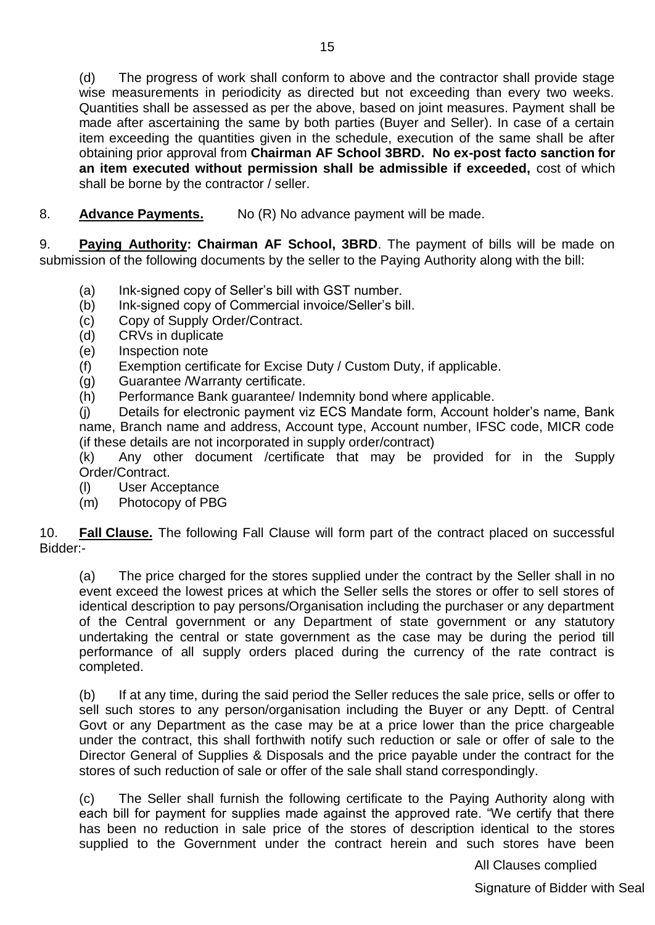(d) The progress of work shall conform to above and the contractor shall provide stage wise measurements in periodicity as directed but not exceeding than every two weeks. Quantities shall be assessed as per the above, based on joint measures. Payment shall be made after ascertaining the same by both parties (Buyer and Seller). In case of a certain item exceeding the quantities given in the schedule, execution of the same shall be after obtaining prior approval from **Chairman AF School 3BRD. No ex-post facto sanction for an item executed without permission shall be admissible if exceeded,** cost of which shall be borne by the contractor / seller.

8. **Advance Payments.** No (R) No advance payment will be made.

9. **Paying Authority: Chairman AF School, 3BRD**. The payment of bills will be made on submission of the following documents by the seller to the Paying Authority along with the bill:

- (a) Ink-signed copy of Seller"s bill with GST number.
- (b) Ink-signed copy of Commercial invoice/Seller"s bill.
- (c) Copy of Supply Order/Contract.
- (d) CRVs in duplicate
- (e) Inspection note
- (f) Exemption certificate for Excise Duty / Custom Duty, if applicable.
- (g) Guarantee /Warranty certificate.
- (h) Performance Bank guarantee/ Indemnity bond where applicable.

(j) Details for electronic payment viz ECS Mandate form, Account holder"s name, Bank name, Branch name and address, Account type, Account number, IFSC code, MICR code (if these details are not incorporated in supply order/contract)

(k) Any other document /certificate that may be provided for in the Supply Order/Contract.

- (l) User Acceptance
- (m) Photocopy of PBG

10. **Fall Clause.** The following Fall Clause will form part of the contract placed on successful Bidder:-

(a) The price charged for the stores supplied under the contract by the Seller shall in no event exceed the lowest prices at which the Seller sells the stores or offer to sell stores of identical description to pay persons/Organisation including the purchaser or any department of the Central government or any Department of state government or any statutory undertaking the central or state government as the case may be during the period till performance of all supply orders placed during the currency of the rate contract is completed.

(b) If at any time, during the said period the Seller reduces the sale price, sells or offer to sell such stores to any person/organisation including the Buyer or any Deptt. of Central Govt or any Department as the case may be at a price lower than the price chargeable under the contract, this shall forthwith notify such reduction or sale or offer of sale to the Director General of Supplies & Disposals and the price payable under the contract for the stores of such reduction of sale or offer of the sale shall stand correspondingly.

(c) The Seller shall furnish the following certificate to the Paying Authority along with each bill for payment for supplies made against the approved rate. "We certify that there has been no reduction in sale price of the stores of description identical to the stores supplied to the Government under the contract herein and such stores have been

All Clauses complied

Signature of Bidder with Seal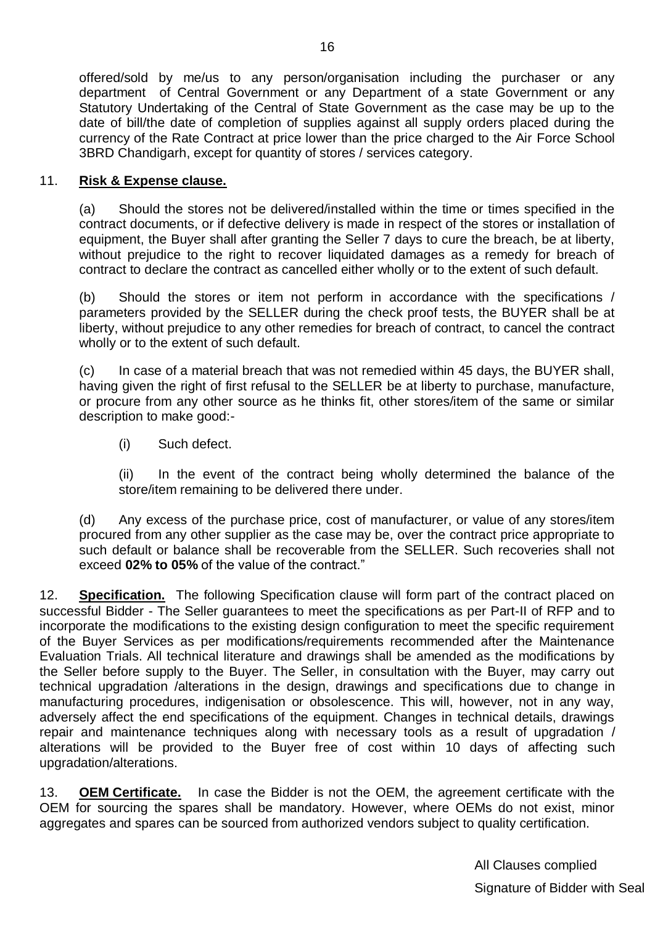offered/sold by me/us to any person/organisation including the purchaser or any department of Central Government or any Department of a state Government or any Statutory Undertaking of the Central of State Government as the case may be up to the date of bill/the date of completion of supplies against all supply orders placed during the currency of the Rate Contract at price lower than the price charged to the Air Force School 3BRD Chandigarh, except for quantity of stores / services category.

#### 11. **Risk & Expense clause.**

(a) Should the stores not be delivered/installed within the time or times specified in the contract documents, or if defective delivery is made in respect of the stores or installation of equipment, the Buyer shall after granting the Seller 7 days to cure the breach, be at liberty, without prejudice to the right to recover liquidated damages as a remedy for breach of contract to declare the contract as cancelled either wholly or to the extent of such default.

(b) Should the stores or item not perform in accordance with the specifications / parameters provided by the SELLER during the check proof tests, the BUYER shall be at liberty, without prejudice to any other remedies for breach of contract, to cancel the contract wholly or to the extent of such default.

(c) In case of a material breach that was not remedied within 45 days, the BUYER shall, having given the right of first refusal to the SELLER be at liberty to purchase, manufacture, or procure from any other source as he thinks fit, other stores/item of the same or similar description to make good:-

(i) Such defect.

(ii) In the event of the contract being wholly determined the balance of the store/item remaining to be delivered there under.

(d) Any excess of the purchase price, cost of manufacturer, or value of any stores/item procured from any other supplier as the case may be, over the contract price appropriate to such default or balance shall be recoverable from the SELLER. Such recoveries shall not exceed **02% to 05%** of the value of the contract."

12. **Specification.** The following Specification clause will form part of the contract placed on successful Bidder - The Seller guarantees to meet the specifications as per Part-II of RFP and to incorporate the modifications to the existing design configuration to meet the specific requirement of the Buyer Services as per modifications/requirements recommended after the Maintenance Evaluation Trials. All technical literature and drawings shall be amended as the modifications by the Seller before supply to the Buyer. The Seller, in consultation with the Buyer, may carry out technical upgradation /alterations in the design, drawings and specifications due to change in manufacturing procedures, indigenisation or obsolescence. This will, however, not in any way, adversely affect the end specifications of the equipment. Changes in technical details, drawings repair and maintenance techniques along with necessary tools as a result of upgradation / alterations will be provided to the Buyer free of cost within 10 days of affecting such upgradation/alterations.

13. **OEM Certificate.** In case the Bidder is not the OEM, the agreement certificate with the OEM for sourcing the spares shall be mandatory. However, where OEMs do not exist, minor aggregates and spares can be sourced from authorized vendors subject to quality certification.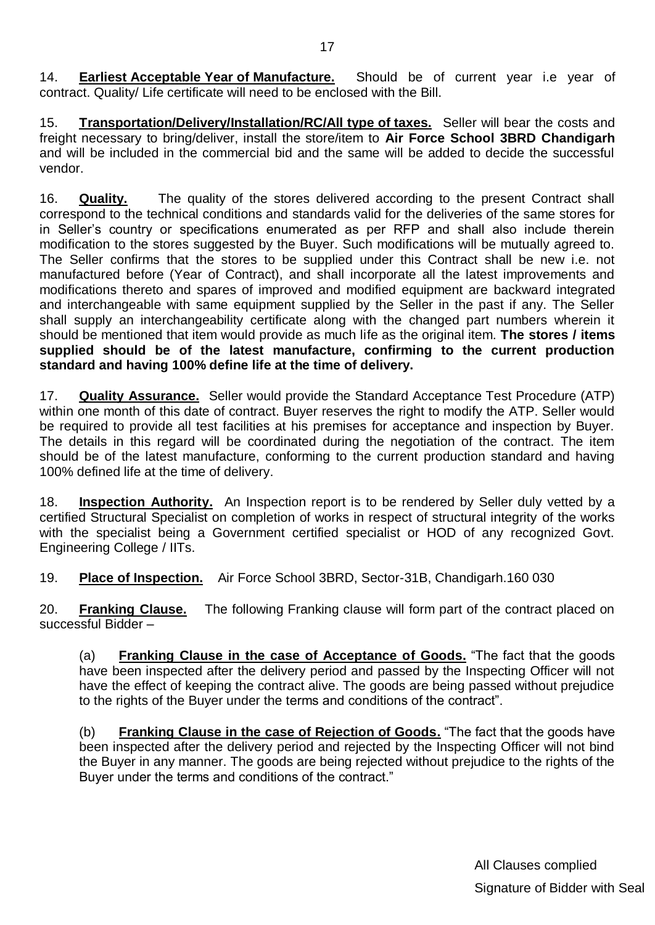14. **Earliest Acceptable Year of Manufacture.** Should be of current year i.e year of contract. Quality/ Life certificate will need to be enclosed with the Bill.

15. **Transportation/Delivery/Installation/RC/All type of taxes.** Seller will bear the costs and freight necessary to bring/deliver, install the store/item to **Air Force School 3BRD Chandigarh** and will be included in the commercial bid and the same will be added to decide the successful vendor.

16. **Quality.** The quality of the stores delivered according to the present Contract shall correspond to the technical conditions and standards valid for the deliveries of the same stores for in Seller"s country or specifications enumerated as per RFP and shall also include therein modification to the stores suggested by the Buyer. Such modifications will be mutually agreed to. The Seller confirms that the stores to be supplied under this Contract shall be new i.e. not manufactured before (Year of Contract), and shall incorporate all the latest improvements and modifications thereto and spares of improved and modified equipment are backward integrated and interchangeable with same equipment supplied by the Seller in the past if any. The Seller shall supply an interchangeability certificate along with the changed part numbers wherein it should be mentioned that item would provide as much life as the original item. **The stores / items supplied should be of the latest manufacture, confirming to the current production standard and having 100% define life at the time of delivery.** 

17. **Quality Assurance.** Seller would provide the Standard Acceptance Test Procedure (ATP) within one month of this date of contract. Buyer reserves the right to modify the ATP. Seller would be required to provide all test facilities at his premises for acceptance and inspection by Buyer. The details in this regard will be coordinated during the negotiation of the contract. The item should be of the latest manufacture, conforming to the current production standard and having 100% defined life at the time of delivery.

18. **Inspection Authority.** An Inspection report is to be rendered by Seller duly vetted by a certified Structural Specialist on completion of works in respect of structural integrity of the works with the specialist being a Government certified specialist or HOD of any recognized Govt. Engineering College / IITs.

19. **Place of Inspection.** Air Force School 3BRD, Sector-31B, Chandigarh.160 030

20. **Franking Clause.** The following Franking clause will form part of the contract placed on successful Bidder –

(a) **Franking Clause in the case of Acceptance of Goods.** "The fact that the goods have been inspected after the delivery period and passed by the Inspecting Officer will not have the effect of keeping the contract alive. The goods are being passed without prejudice to the rights of the Buyer under the terms and conditions of the contract".

(b) **Franking Clause in the case of Rejection of Goods.** "The fact that the goods have been inspected after the delivery period and rejected by the Inspecting Officer will not bind the Buyer in any manner. The goods are being rejected without prejudice to the rights of the Buyer under the terms and conditions of the contract."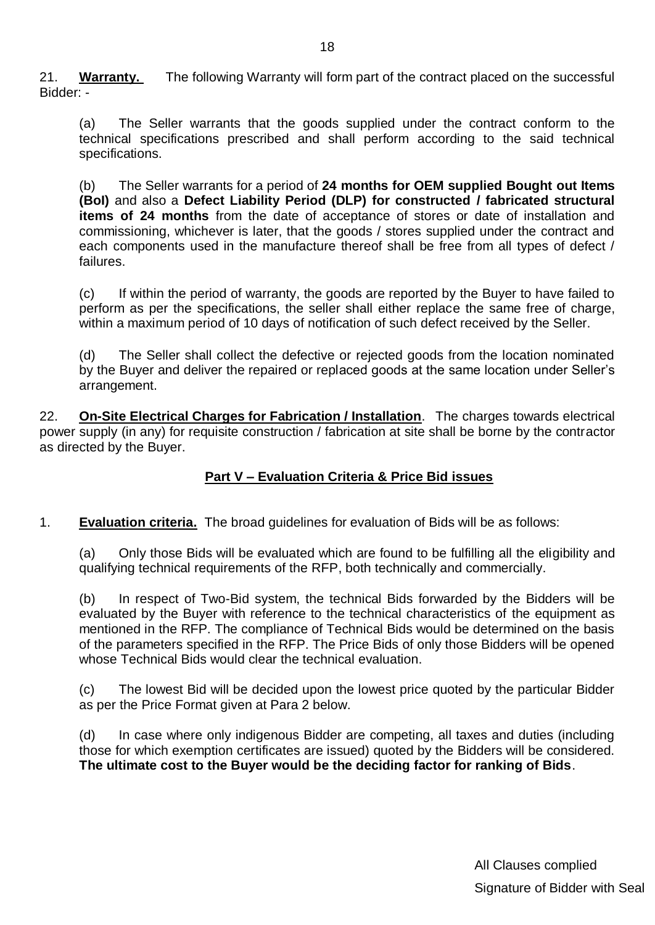21. **Warranty.** The following Warranty will form part of the contract placed on the successful Bidder: -

(a) The Seller warrants that the goods supplied under the contract conform to the technical specifications prescribed and shall perform according to the said technical specifications.

(b) The Seller warrants for a period of **24 months for OEM supplied Bought out Items (BoI)** and also a **Defect Liability Period (DLP) for constructed / fabricated structural items of 24 months** from the date of acceptance of stores or date of installation and commissioning, whichever is later, that the goods / stores supplied under the contract and each components used in the manufacture thereof shall be free from all types of defect / failures.

(c) If within the period of warranty, the goods are reported by the Buyer to have failed to perform as per the specifications, the seller shall either replace the same free of charge, within a maximum period of 10 days of notification of such defect received by the Seller.

(d) The Seller shall collect the defective or rejected goods from the location nominated by the Buyer and deliver the repaired or replaced goods at the same location under Seller"s arrangement.

22. **On-Site Electrical Charges for Fabrication / Installation**. The charges towards electrical power supply (in any) for requisite construction / fabrication at site shall be borne by the contractor as directed by the Buyer.

#### **Part V – Evaluation Criteria & Price Bid issues**

#### 1. **Evaluation criteria.** The broad guidelines for evaluation of Bids will be as follows:

(a) Only those Bids will be evaluated which are found to be fulfilling all the eligibility and qualifying technical requirements of the RFP, both technically and commercially.

(b) In respect of Two-Bid system, the technical Bids forwarded by the Bidders will be evaluated by the Buyer with reference to the technical characteristics of the equipment as mentioned in the RFP. The compliance of Technical Bids would be determined on the basis of the parameters specified in the RFP. The Price Bids of only those Bidders will be opened whose Technical Bids would clear the technical evaluation.

(c) The lowest Bid will be decided upon the lowest price quoted by the particular Bidder as per the Price Format given at Para 2 below.

(d) In case where only indigenous Bidder are competing, all taxes and duties (including those for which exemption certificates are issued) quoted by the Bidders will be considered. **The ultimate cost to the Buyer would be the deciding factor for ranking of Bids**.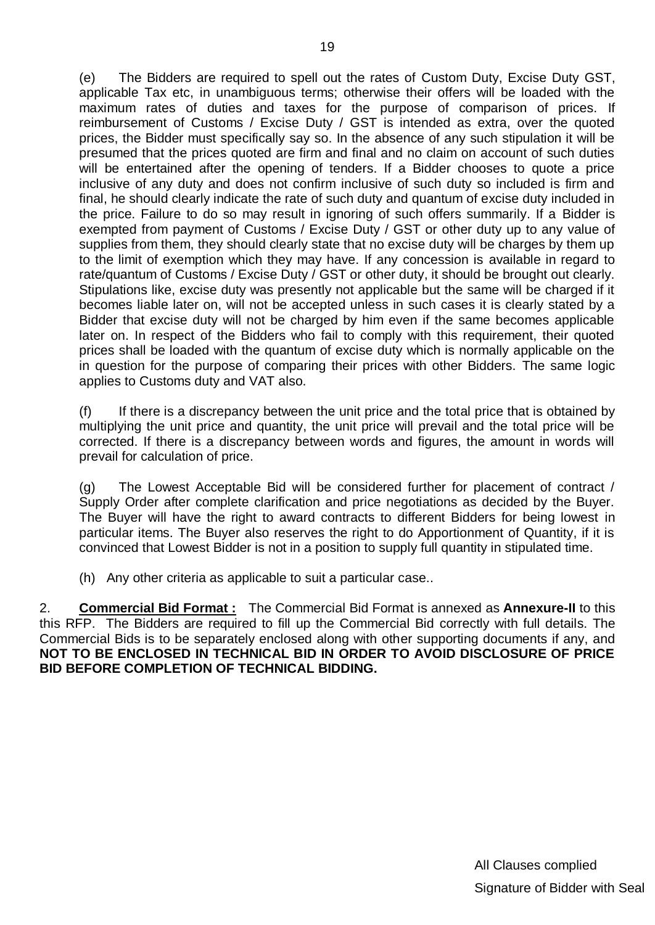(e) The Bidders are required to spell out the rates of Custom Duty, Excise Duty GST, applicable Tax etc, in unambiguous terms; otherwise their offers will be loaded with the maximum rates of duties and taxes for the purpose of comparison of prices. If reimbursement of Customs / Excise Duty / GST is intended as extra, over the quoted prices, the Bidder must specifically say so. In the absence of any such stipulation it will be presumed that the prices quoted are firm and final and no claim on account of such duties will be entertained after the opening of tenders. If a Bidder chooses to quote a price inclusive of any duty and does not confirm inclusive of such duty so included is firm and final, he should clearly indicate the rate of such duty and quantum of excise duty included in the price. Failure to do so may result in ignoring of such offers summarily. If a Bidder is exempted from payment of Customs / Excise Duty / GST or other duty up to any value of supplies from them, they should clearly state that no excise duty will be charges by them up to the limit of exemption which they may have. If any concession is available in regard to rate/quantum of Customs / Excise Duty / GST or other duty, it should be brought out clearly. Stipulations like, excise duty was presently not applicable but the same will be charged if it becomes liable later on, will not be accepted unless in such cases it is clearly stated by a Bidder that excise duty will not be charged by him even if the same becomes applicable later on. In respect of the Bidders who fail to comply with this requirement, their quoted prices shall be loaded with the quantum of excise duty which is normally applicable on the in question for the purpose of comparing their prices with other Bidders. The same logic applies to Customs duty and VAT also.

(f) If there is a discrepancy between the unit price and the total price that is obtained by multiplying the unit price and quantity, the unit price will prevail and the total price will be corrected. If there is a discrepancy between words and figures, the amount in words will prevail for calculation of price.

(g) The Lowest Acceptable Bid will be considered further for placement of contract / Supply Order after complete clarification and price negotiations as decided by the Buyer. The Buyer will have the right to award contracts to different Bidders for being lowest in particular items. The Buyer also reserves the right to do Apportionment of Quantity, if it is convinced that Lowest Bidder is not in a position to supply full quantity in stipulated time.

(h) Any other criteria as applicable to suit a particular case..

2. **Commercial Bid Format :** The Commercial Bid Format is annexed as **Annexure-II** to this this RFP. The Bidders are required to fill up the Commercial Bid correctly with full details. The Commercial Bids is to be separately enclosed along with other supporting documents if any, and **NOT TO BE ENCLOSED IN TECHNICAL BID IN ORDER TO AVOID DISCLOSURE OF PRICE BID BEFORE COMPLETION OF TECHNICAL BIDDING.**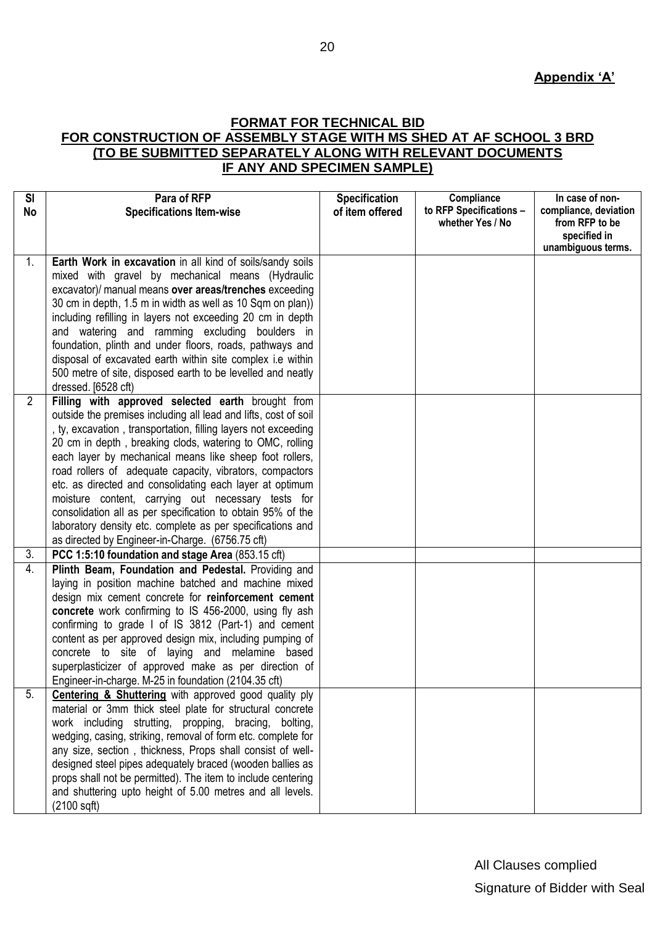#### **FORMAT FOR TECHNICAL BID FOR CONSTRUCTION OF ASSEMBLY STAGE WITH MS SHED AT AF SCHOOL 3 BRD (TO BE SUBMITTED SEPARATELY ALONG WITH RELEVANT DOCUMENTS IF ANY AND SPECIMEN SAMPLE)**

| <b>SI</b>      | Para of RFP                                                                                                                                                                                                                                                                                                                                                                                                                                                                                                                                                                                                                                                                  | <b>Specification</b> | Compliance                                  | In case of non-                                                               |
|----------------|------------------------------------------------------------------------------------------------------------------------------------------------------------------------------------------------------------------------------------------------------------------------------------------------------------------------------------------------------------------------------------------------------------------------------------------------------------------------------------------------------------------------------------------------------------------------------------------------------------------------------------------------------------------------------|----------------------|---------------------------------------------|-------------------------------------------------------------------------------|
| No             | <b>Specifications Item-wise</b>                                                                                                                                                                                                                                                                                                                                                                                                                                                                                                                                                                                                                                              | of item offered      | to RFP Specifications -<br>whether Yes / No | compliance, deviation<br>from RFP to be<br>specified in<br>unambiguous terms. |
| 1.             | Earth Work in excavation in all kind of soils/sandy soils<br>mixed with gravel by mechanical means (Hydraulic<br>excavator)/ manual means over areas/trenches exceeding<br>30 cm in depth, 1.5 m in width as well as 10 Sqm on plan)<br>including refilling in layers not exceeding 20 cm in depth<br>and watering and ramming excluding boulders in<br>foundation, plinth and under floors, roads, pathways and<br>disposal of excavated earth within site complex i.e within<br>500 metre of site, disposed earth to be levelled and neatly<br>dressed. [6528 cft)                                                                                                         |                      |                                             |                                                                               |
| $\overline{2}$ | Filling with approved selected earth brought from<br>outside the premises including all lead and lifts, cost of soil<br>, ty, excavation, transportation, filling layers not exceeding<br>20 cm in depth, breaking clods, watering to OMC, rolling<br>each layer by mechanical means like sheep foot rollers,<br>road rollers of adequate capacity, vibrators, compactors<br>etc. as directed and consolidating each layer at optimum<br>moisture content, carrying out necessary tests for<br>consolidation all as per specification to obtain 95% of the<br>laboratory density etc. complete as per specifications and<br>as directed by Engineer-in-Charge. (6756.75 cft) |                      |                                             |                                                                               |
| 3.             | PCC 1:5:10 foundation and stage Area (853.15 cft)                                                                                                                                                                                                                                                                                                                                                                                                                                                                                                                                                                                                                            |                      |                                             |                                                                               |
| 4.             | Plinth Beam, Foundation and Pedestal. Providing and<br>laying in position machine batched and machine mixed<br>design mix cement concrete for reinforcement cement<br>concrete work confirming to IS 456-2000, using fly ash<br>confirming to grade I of IS 3812 (Part-1) and cement<br>content as per approved design mix, including pumping of<br>concrete to site of laying and melamine based<br>superplasticizer of approved make as per direction of<br>Engineer-in-charge. M-25 in foundation (2104.35 cft)                                                                                                                                                           |                      |                                             |                                                                               |
| 5.             | <b>Centering &amp; Shuttering</b> with approved good quality ply<br>material or 3mm thick steel plate for structural concrete<br>work including strutting, propping, bracing, bolting,<br>wedging, casing, striking, removal of form etc. complete for<br>any size, section, thickness, Props shall consist of well-<br>designed steel pipes adequately braced (wooden ballies as<br>props shall not be permitted). The item to include centering<br>and shuttering upto height of 5.00 metres and all levels.<br>$(2100 \text{ sqft})$                                                                                                                                      |                      |                                             |                                                                               |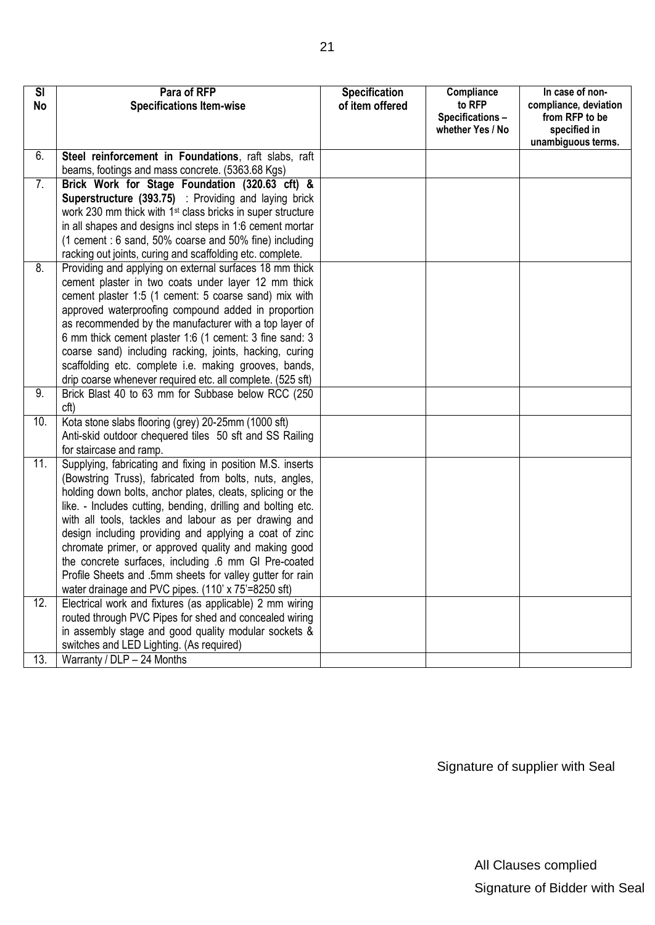| <b>SI</b> | Para of RFP                                                                                                          | <b>Specification</b> | Compliance                          | In case of non-                |
|-----------|----------------------------------------------------------------------------------------------------------------------|----------------------|-------------------------------------|--------------------------------|
| No        | <b>Specifications Item-wise</b>                                                                                      | of item offered      | to RFP                              | compliance, deviation          |
|           |                                                                                                                      |                      | Specifications-<br>whether Yes / No | from RFP to be<br>specified in |
|           |                                                                                                                      |                      |                                     | unambiguous terms.             |
| 6.        | Steel reinforcement in Foundations, raft slabs, raft                                                                 |                      |                                     |                                |
|           | beams, footings and mass concrete. (5363.68 Kgs)                                                                     |                      |                                     |                                |
| 7.        | Brick Work for Stage Foundation (320.63 cft) &                                                                       |                      |                                     |                                |
|           | Superstructure (393.75) : Providing and laying brick                                                                 |                      |                                     |                                |
|           | work 230 mm thick with 1 <sup>st</sup> class bricks in super structure                                               |                      |                                     |                                |
|           | in all shapes and designs incl steps in 1:6 cement mortar                                                            |                      |                                     |                                |
|           | (1 cement : 6 sand, 50% coarse and 50% fine) including                                                               |                      |                                     |                                |
| 8.        | racking out joints, curing and scaffolding etc. complete.<br>Providing and applying on external surfaces 18 mm thick |                      |                                     |                                |
|           | cement plaster in two coats under layer 12 mm thick                                                                  |                      |                                     |                                |
|           | cement plaster 1:5 (1 cement: 5 coarse sand) mix with                                                                |                      |                                     |                                |
|           | approved waterproofing compound added in proportion                                                                  |                      |                                     |                                |
|           | as recommended by the manufacturer with a top layer of                                                               |                      |                                     |                                |
|           | 6 mm thick cement plaster 1:6 (1 cement: 3 fine sand: 3                                                              |                      |                                     |                                |
|           | coarse sand) including racking, joints, hacking, curing                                                              |                      |                                     |                                |
|           | scaffolding etc. complete i.e. making grooves, bands,                                                                |                      |                                     |                                |
|           | drip coarse whenever required etc. all complete. (525 sft)                                                           |                      |                                     |                                |
| 9.        | Brick Blast 40 to 63 mm for Subbase below RCC (250                                                                   |                      |                                     |                                |
|           | cft)                                                                                                                 |                      |                                     |                                |
| 10.       | Kota stone slabs flooring (grey) 20-25mm (1000 sft)                                                                  |                      |                                     |                                |
|           | Anti-skid outdoor chequered tiles 50 sft and SS Railing                                                              |                      |                                     |                                |
|           | for staircase and ramp.                                                                                              |                      |                                     |                                |
| 11.       | Supplying, fabricating and fixing in position M.S. inserts                                                           |                      |                                     |                                |
|           | (Bowstring Truss), fabricated from bolts, nuts, angles,                                                              |                      |                                     |                                |
|           | holding down bolts, anchor plates, cleats, splicing or the                                                           |                      |                                     |                                |
|           | like. - Includes cutting, bending, drilling and bolting etc.                                                         |                      |                                     |                                |
|           | with all tools, tackles and labour as per drawing and                                                                |                      |                                     |                                |
|           | design including providing and applying a coat of zinc<br>chromate primer, or approved quality and making good       |                      |                                     |                                |
|           | the concrete surfaces, including .6 mm GI Pre-coated                                                                 |                      |                                     |                                |
|           | Profile Sheets and .5mm sheets for valley gutter for rain                                                            |                      |                                     |                                |
|           | water drainage and PVC pipes. (110' x 75'=8250 sft)                                                                  |                      |                                     |                                |
| 12.       | Electrical work and fixtures (as applicable) 2 mm wiring                                                             |                      |                                     |                                |
|           | routed through PVC Pipes for shed and concealed wiring                                                               |                      |                                     |                                |
|           | in assembly stage and good quality modular sockets &                                                                 |                      |                                     |                                |
|           | switches and LED Lighting. (As required)                                                                             |                      |                                     |                                |
| 13.       | Warranty / DLP - 24 Months                                                                                           |                      |                                     |                                |

Signature of supplier with Seal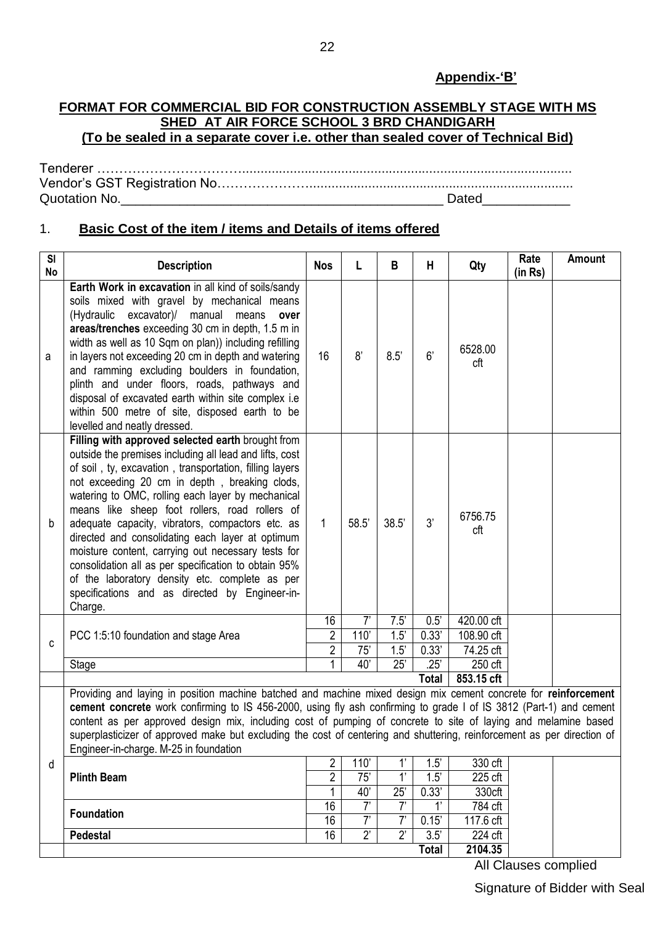#### **Appendix-"B"**

#### **FORMAT FOR COMMERCIAL BID FOR CONSTRUCTION ASSEMBLY STAGE WITH MS SHED AT AIR FORCE SCHOOL 3 BRD CHANDIGARH (To be sealed in a separate cover i.e. other than sealed cover of Technical Bid)**

Tenderer …………………………….......................................................................................... Vendor"s GST Registration No…………………........................................................................ Quotation No.\_\_\_\_\_\_\_\_\_\_\_\_\_\_\_\_\_\_\_\_\_\_\_\_\_\_\_\_\_\_\_\_\_\_\_\_\_\_\_\_\_\_\_\_ Dated\_\_\_\_\_\_\_\_\_\_\_\_

## 1. **Basic Cost of the item / items and Details of items offered**

| SI<br>No | <b>Description</b>                                                                                                                                                                                                                                                                                                                                                                                                                                                                                                                                                                                                                                                   | <b>Nos</b>                       |                          | B                             | Н                         | Qty                             | Rate<br>(in Rs) | Amount |
|----------|----------------------------------------------------------------------------------------------------------------------------------------------------------------------------------------------------------------------------------------------------------------------------------------------------------------------------------------------------------------------------------------------------------------------------------------------------------------------------------------------------------------------------------------------------------------------------------------------------------------------------------------------------------------------|----------------------------------|--------------------------|-------------------------------|---------------------------|---------------------------------|-----------------|--------|
| a        | Earth Work in excavation in all kind of soils/sandy<br>soils mixed with gravel by mechanical means<br>(Hydraulic excavator)/ manual means<br>over<br>areas/trenches exceeding 30 cm in depth, 1.5 m in<br>width as well as 10 Sqm on plan)) including refilling<br>in layers not exceeding 20 cm in depth and watering<br>and ramming excluding boulders in foundation,<br>plinth and under floors, roads, pathways and<br>disposal of excavated earth within site complex i.e<br>within 500 metre of site, disposed earth to be<br>levelled and neatly dressed.                                                                                                     | 16                               | 8'                       | 8.5'                          | 6'                        | 6528.00<br>cft                  |                 |        |
| b        | Filling with approved selected earth brought from<br>outside the premises including all lead and lifts, cost<br>of soil, ty, excavation, transportation, filling layers<br>not exceeding 20 cm in depth, breaking clods,<br>watering to OMC, rolling each layer by mechanical<br>means like sheep foot rollers, road rollers of<br>adequate capacity, vibrators, compactors etc. as<br>directed and consolidating each layer at optimum<br>moisture content, carrying out necessary tests for<br>consolidation all as per specification to obtain 95%<br>of the laboratory density etc. complete as per<br>specifications and as directed by Engineer-in-<br>Charge. | 1                                | 58.5'                    | 38.5'                         | 3'                        | 6756.75<br>cft                  |                 |        |
|          |                                                                                                                                                                                                                                                                                                                                                                                                                                                                                                                                                                                                                                                                      | 16<br>$\overline{2}$             | 7'                       | 7.5'                          | 0.5'                      | 420.00 cft                      |                 |        |
| C        | PCC 1:5:10 foundation and stage Area                                                                                                                                                                                                                                                                                                                                                                                                                                                                                                                                                                                                                                 |                                  | 110'                     | 1.5'                          | 0.33'                     | 108.90 cft                      |                 |        |
|          | Stage                                                                                                                                                                                                                                                                                                                                                                                                                                                                                                                                                                                                                                                                | $\overline{2}$<br>1              | 75'<br>40'               | 1.5'<br>25'                   | 0.33'<br>$\overline{.25}$ | 74.25 cft<br>250 cft            |                 |        |
|          |                                                                                                                                                                                                                                                                                                                                                                                                                                                                                                                                                                                                                                                                      |                                  |                          |                               | <b>Total</b>              | 853.15 cft                      |                 |        |
|          | Providing and laying in position machine batched and machine mixed design mix cement concrete for reinforcement<br>cement concrete work confirming to IS 456-2000, using fly ash confirming to grade I of IS 3812 (Part-1) and cement<br>content as per approved design mix, including cost of pumping of concrete to site of laying and melamine based<br>superplasticizer of approved make but excluding the cost of centering and shuttering, reinforcement as per direction of<br>Engineer-in-charge. M-25 in foundation                                                                                                                                         |                                  |                          |                               |                           |                                 |                 |        |
| d        | <b>Plinth Beam</b>                                                                                                                                                                                                                                                                                                                                                                                                                                                                                                                                                                                                                                                   | $\overline{2}$<br>$\overline{2}$ | 110'<br>$\overline{75'}$ | 1'<br>$\overline{\mathbf{1}}$ | 1.5'<br>1.5'              | $\overline{330}$ cft<br>225 cft |                 |        |
|          |                                                                                                                                                                                                                                                                                                                                                                                                                                                                                                                                                                                                                                                                      | 1                                | 40'                      | 25'                           | 0.33'                     | 330cft                          |                 |        |
|          |                                                                                                                                                                                                                                                                                                                                                                                                                                                                                                                                                                                                                                                                      | 16                               | $\overline{7}$           | 7'                            | 1'                        | 784 cft                         |                 |        |
|          | <b>Foundation</b>                                                                                                                                                                                                                                                                                                                                                                                                                                                                                                                                                                                                                                                    | 16                               | $\overline{7}$           | 7'                            | 0.15'                     | 117.6 cft                       |                 |        |
|          | Pedestal                                                                                                                                                                                                                                                                                                                                                                                                                                                                                                                                                                                                                                                             | 16                               | $2^{\prime}$             | $\overline{2}$                | $\overline{3.5'}$         | 224 cft                         |                 |        |
|          |                                                                                                                                                                                                                                                                                                                                                                                                                                                                                                                                                                                                                                                                      |                                  |                          |                               | <b>Total</b>              | 2104.35                         |                 |        |

All Clauses complied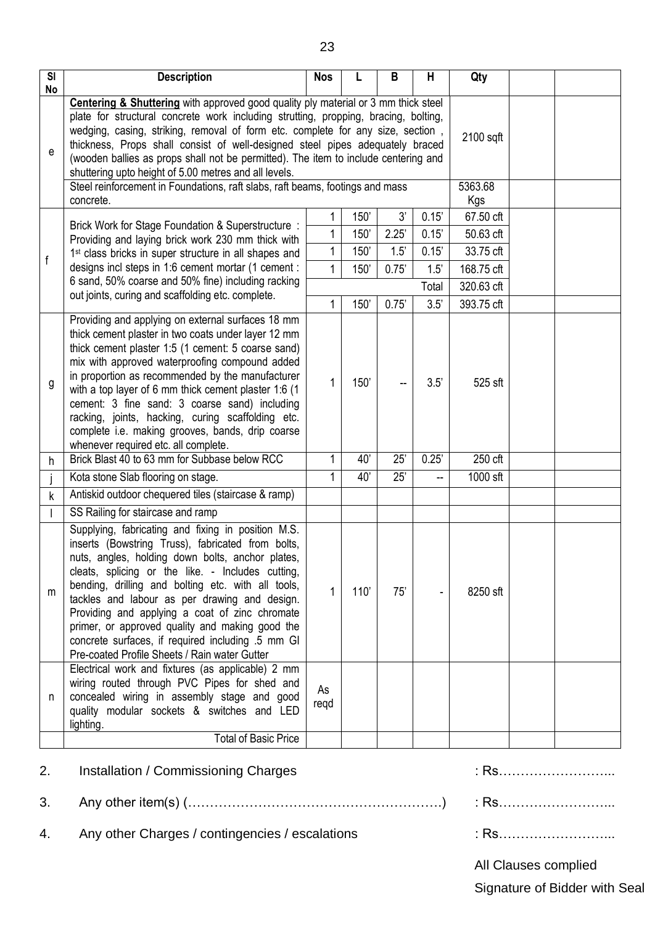| $\overline{\mathsf{SI}}$ | <b>Description</b>                                                                                                                                                                                                                                                                                                                                                                                                                                                                                                                                                                                                                                                                     | <b>Nos</b>                       |                                      | B                                     | Н                                                | Qty                                                                                  |  |
|--------------------------|----------------------------------------------------------------------------------------------------------------------------------------------------------------------------------------------------------------------------------------------------------------------------------------------------------------------------------------------------------------------------------------------------------------------------------------------------------------------------------------------------------------------------------------------------------------------------------------------------------------------------------------------------------------------------------------|----------------------------------|--------------------------------------|---------------------------------------|--------------------------------------------------|--------------------------------------------------------------------------------------|--|
| No<br>е                  | Centering & Shuttering with approved good quality ply material or 3 mm thick steel<br>plate for structural concrete work including strutting, propping, bracing, bolting,<br>wedging, casing, striking, removal of form etc. complete for any size, section,<br>thickness, Props shall consist of well-designed steel pipes adequately braced<br>(wooden ballies as props shall not be permitted). The item to include centering and<br>shuttering upto height of 5.00 metres and all levels.<br>Steel reinforcement in Foundations, raft slabs, raft beams, footings and mass                                                                                                         |                                  |                                      |                                       |                                                  |                                                                                      |  |
| f                        | concrete.<br>Brick Work for Stage Foundation & Superstructure :<br>Providing and laying brick work 230 mm thick with<br>1 <sup>st</sup> class bricks in super structure in all shapes and<br>designs incl steps in 1:6 cement mortar (1 cement :<br>6 sand, 50% coarse and 50% fine) including racking<br>out joints, curing and scaffolding etc. complete.                                                                                                                                                                                                                                                                                                                            | 1<br>$\mathbf{1}$<br>1<br>1<br>1 | 150'<br>150'<br>150'<br>150'<br>150' | 3'<br>2.25'<br>1.5'<br>0.75'<br>0.75' | 0.15'<br>0.15'<br>0.15'<br>1.5'<br>Total<br>3.5' | Kgs<br>67.50 cft<br>50.63 cft<br>33.75 cft<br>168.75 cft<br>320.63 cft<br>393.75 cft |  |
| g                        | Providing and applying on external surfaces 18 mm<br>thick cement plaster in two coats under layer 12 mm<br>thick cement plaster 1:5 (1 cement: 5 coarse sand)<br>mix with approved waterproofing compound added<br>in proportion as recommended by the manufacturer<br>with a top layer of 6 mm thick cement plaster 1:6 (1<br>cement: 3 fine sand: 3 coarse sand) including<br>racking, joints, hacking, curing scaffolding etc.<br>complete i.e. making grooves, bands, drip coarse<br>whenever required etc. all complete.                                                                                                                                                         | 1                                | 150'                                 |                                       | 3.5'                                             | 525 sft                                                                              |  |
| h                        | Brick Blast 40 to 63 mm for Subbase below RCC                                                                                                                                                                                                                                                                                                                                                                                                                                                                                                                                                                                                                                          | 1                                | 40'                                  | 25'                                   | 0.25'                                            | 250 cft                                                                              |  |
|                          | Kota stone Slab flooring on stage.                                                                                                                                                                                                                                                                                                                                                                                                                                                                                                                                                                                                                                                     | 1                                | 40'                                  | 25'                                   |                                                  | 1000 sft                                                                             |  |
| k                        | Antiskid outdoor chequered tiles (staircase & ramp)                                                                                                                                                                                                                                                                                                                                                                                                                                                                                                                                                                                                                                    |                                  |                                      |                                       |                                                  |                                                                                      |  |
|                          | SS Railing for staircase and ramp                                                                                                                                                                                                                                                                                                                                                                                                                                                                                                                                                                                                                                                      |                                  |                                      |                                       |                                                  |                                                                                      |  |
| m                        | Supplying, fabricating and fixing in position M.S.<br>inserts (Bowstring Truss), fabricated from bolts,<br>nuts, angles, holding down bolts, anchor plates,<br>cleats, splicing or the like. - Includes cutting,<br>bending, drilling and bolting etc. with all tools,<br>tackles and labour as per drawing and design.<br>Providing and applying a coat of zinc chromate<br>primer, or approved quality and making good the<br>concrete surfaces, if required including .5 mm GI<br>Pre-coated Profile Sheets / Rain water Gutter<br>Electrical work and fixtures (as applicable) 2 mm<br>wiring routed through PVC Pipes for shed and<br>concealed wiring in assembly stage and good | 1<br>As                          | 110'                                 | 75'                                   |                                                  | 8250 sft                                                                             |  |
| n                        | quality modular sockets & switches and LED<br>lighting.                                                                                                                                                                                                                                                                                                                                                                                                                                                                                                                                                                                                                                | regd                             |                                      |                                       |                                                  |                                                                                      |  |
|                          | <b>Total of Basic Price</b>                                                                                                                                                                                                                                                                                                                                                                                                                                                                                                                                                                                                                                                            |                                  |                                      |                                       |                                                  |                                                                                      |  |

# 2. Installation / Commissioning Charges in the contract of the contract of the contract of the contract of the contract of the contract of the contract of the contract of the contract of the contract of the contract of the

3. Any other item(s) (………………………………………………….) : Rs……………………...

4. Any other Charges / contingencies / escalations : Rs..........................

All Clauses complied

Signature of Bidder with Seal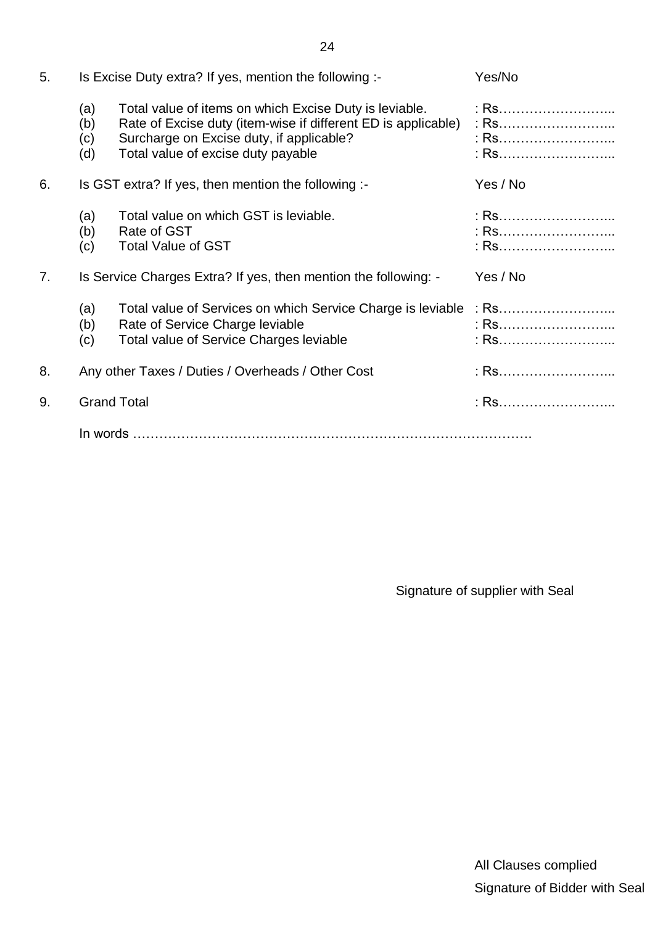| 5. |                          | Is Excise Duty extra? If yes, mention the following :-                                                                                                                                                    | Yes/No   |
|----|--------------------------|-----------------------------------------------------------------------------------------------------------------------------------------------------------------------------------------------------------|----------|
|    | (a)<br>(b)<br>(c)<br>(d) | Total value of items on which Excise Duty is leviable.<br>Rate of Excise duty (item-wise if different ED is applicable)<br>Surcharge on Excise duty, if applicable?<br>Total value of excise duty payable |          |
| 6. |                          | Is GST extra? If yes, then mention the following :-                                                                                                                                                       | Yes / No |
|    | (a)<br>(b)<br>(c)        | Total value on which GST is leviable.<br>Rate of GST<br><b>Total Value of GST</b>                                                                                                                         | : Rs     |
| 7. |                          | Is Service Charges Extra? If yes, then mention the following: -                                                                                                                                           | Yes / No |
|    | (a)<br>(b)<br>(c)        | Total value of Services on which Service Charge is leviable<br>Rate of Service Charge leviable<br>Total value of Service Charges leviable                                                                 |          |
| 8. |                          | Any other Taxes / Duties / Overheads / Other Cost                                                                                                                                                         |          |
| 9. |                          | <b>Grand Total</b>                                                                                                                                                                                        |          |
|    |                          |                                                                                                                                                                                                           |          |

Signature of supplier with Seal